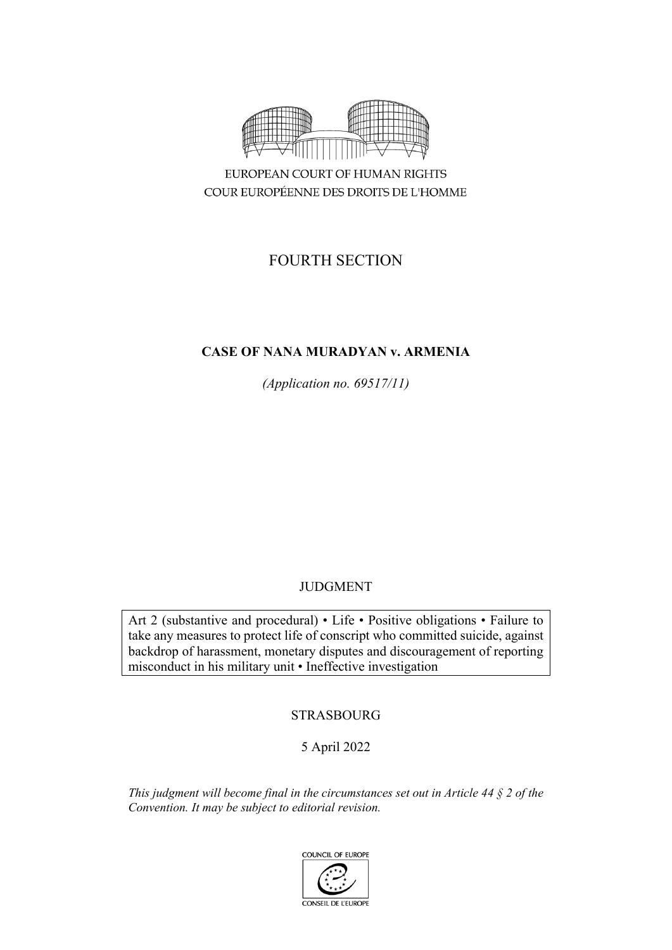

COUR EUROPÉENNE DES DROITS DE L'HOMME

# FOURTH SECTION

# **CASE OF NANA MURADYAN v. ARMENIA**

*(Application no. 69517/11)*

# JUDGMENT

Art 2 (substantive and procedural) • Life • Positive obligations • Failure to take any measures to protect life of conscript who committed suicide, against backdrop of harassment, monetary disputes and discouragement of reporting misconduct in his military unit • Ineffective investigation

# STRASBOURG

# 5 April 2022

*This judgment will become final in the circumstances set out in Article 44 § 2 of the Convention. It may be subject to editorial revision.*

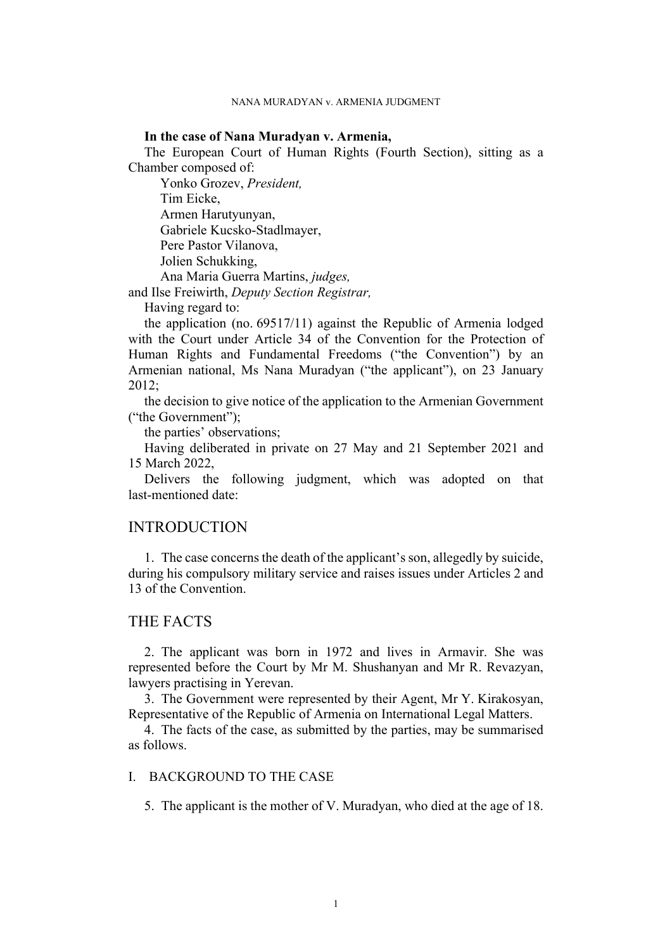## **In the case of Nana Muradyan v. Armenia,**

The European Court of Human Rights (Fourth Section), sitting as a Chamber composed of:

Yonko Grozev, *President,* Tim Eicke, Armen Harutyunyan, Gabriele Kucsko-Stadlmayer, Pere Pastor Vilanova, Jolien Schukking, Ana Maria Guerra Martins, *judges,*

and Ilse Freiwirth, *Deputy Section Registrar,*

Having regard to:

the application (no. 69517/11) against the Republic of Armenia lodged with the Court under Article 34 of the Convention for the Protection of Human Rights and Fundamental Freedoms ("the Convention") by an Armenian national, Ms Nana Muradyan ("the applicant"), on 23 January 2012;

the decision to give notice of the application to the Armenian Government ("the Government");

the parties' observations;

Having deliberated in private on 27 May and 21 September 2021 and 15 March 2022,

Delivers the following judgment, which was adopted on that last-mentioned date:

# INTRODUCTION

1. The case concerns the death of the applicant's son, allegedly by suicide, during his compulsory military service and raises issues under Articles 2 and 13 of the Convention.

# THE FACTS

2. The applicant was born in 1972 and lives in Armavir. She was represented before the Court by Mr M. Shushanyan and Mr R. Revazyan, lawyers practising in Yerevan.

3. The Government were represented by their Agent, Mr Y. Kirakosyan, Representative of the Republic of Armenia on International Legal Matters.

4. The facts of the case, as submitted by the parties, may be summarised as follows.

# I. BACKGROUND TO THE CASE

5. The applicant is the mother of V. Muradyan, who died at the age of 18.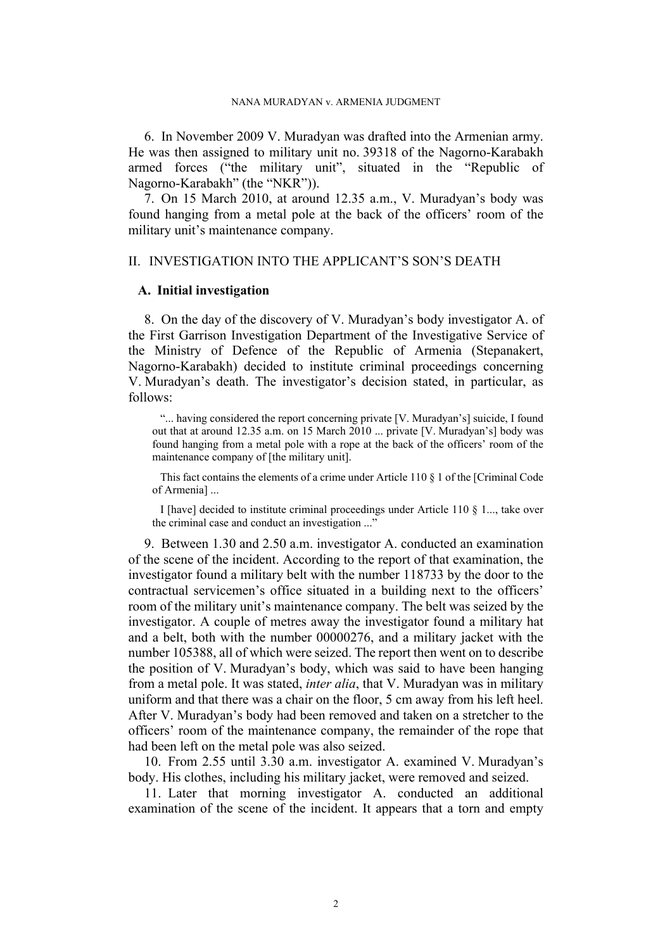<span id="page-3-2"></span>6. In November 2009 V. Muradyan was drafted into the Armenian army. He was then assigned to military unit no. 39318 of the Nagorno-Karabakh armed forces ("the military unit", situated in the "Republic of Nagorno-Karabakh" (the "NKR")).

7. On 15 March 2010, at around 12.35 a.m., V. Muradyan's body was found hanging from a metal pole at the back of the officers' room of the military unit's maintenance company.

# II. INVESTIGATION INTO THE APPLICANT'S SON'S DEATH

# **A. Initial investigation**

<span id="page-3-3"></span>8. On the day of the discovery of V. Muradyan's body investigator A. of the First Garrison Investigation Department of the Investigative Service of the Ministry of Defence of the Republic of Armenia (Stepanakert, Nagorno-Karabakh) decided to institute criminal proceedings concerning V. Muradyan's death. The investigator's decision stated, in particular, as follows:

"... having considered the report concerning private [V. Muradyan's] suicide, I found out that at around 12.35 a.m. on 15 March 2010 ... private [V. Muradyan's] body was found hanging from a metal pole with a rope at the back of the officers' room of the maintenance company of [the military unit].

This fact contains the elements of a crime under Article 110 § 1 of the [Criminal Code of Armenia] ...

I [have] decided to institute criminal proceedings under Article 110 § 1..., take over the criminal case and conduct an investigation ..."

<span id="page-3-0"></span>9. Between 1.30 and 2.50 a.m. investigator A. conducted an examination of the scene of the incident. According to the report of that examination, the investigator found a military belt with the number 118733 by the door to the contractual servicemen's office situated in a building next to the officers' room of the military unit's maintenance company. The belt was seized by the investigator. A couple of metres away the investigator found a military hat and a belt, both with the number 00000276, and a military jacket with the number 105388, all of which were seized. The report then went on to describe the position of V. Muradyan's body, which was said to have been hanging from a metal pole. It was stated, *inter alia*, that V. Muradyan was in military uniform and that there was a chair on the floor, 5 cm away from his left heel. After V. Muradyan's body had been removed and taken on a stretcher to the officers' room of the maintenance company, the remainder of the rope that had been left on the metal pole was also seized.

<span id="page-3-1"></span>10. From 2.55 until 3.30 a.m. investigator A. examined V. Muradyan's body. His clothes, including his military jacket, were removed and seized.

11. Later that morning investigator A. conducted an additional examination of the scene of the incident. It appears that a torn and empty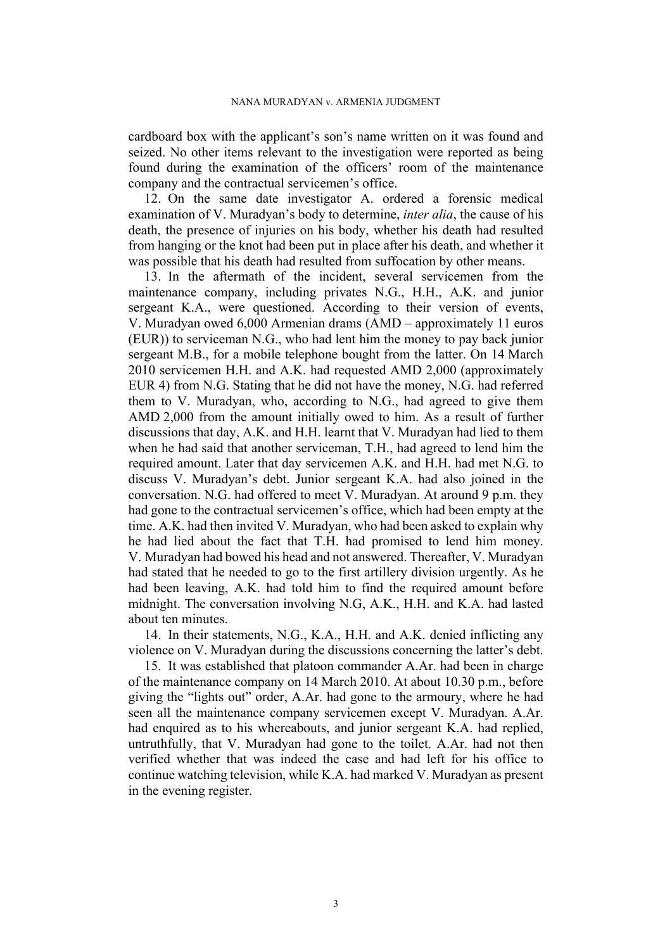cardboard box with the applicant's son's name written on it was found and seized. No other items relevant to the investigation were reported as being found during the examination of the officers' room of the maintenance company and the contractual servicemen's office.

<span id="page-4-0"></span>12. On the same date investigator A. ordered a forensic medical examination of V. Muradyan's body to determine, *inter alia*, the cause of his death, the presence of injuries on his body, whether his death had resulted from hanging or the knot had been put in place after his death, and whether it was possible that his death had resulted from suffocation by other means.

<span id="page-4-1"></span>13. In the aftermath of the incident, several servicemen from the maintenance company, including privates N.G., H.H., A.K. and junior sergeant K.A., were questioned. According to their version of events, V. Muradyan owed 6,000 Armenian drams (AMD – approximately 11 euros (EUR)) to serviceman N.G., who had lent him the money to pay back junior sergeant M.B., for a mobile telephone bought from the latter. On 14 March 2010 servicemen H.H. and A.K. had requested AMD 2,000 (approximately EUR 4) from N.G. Stating that he did not have the money, N.G. had referred them to V. Muradyan, who, according to N.G., had agreed to give them AMD 2,000 from the amount initially owed to him. As a result of further discussions that day, A.K. and H.H. learnt that V. Muradyan had lied to them when he had said that another serviceman, T.H., had agreed to lend him the required amount. Later that day servicemen A.K. and H.H. had met N.G. to discuss V. Muradyan's debt. Junior sergeant K.A. had also joined in the conversation. N.G. had offered to meet V. Muradyan. At around 9 p.m. they had gone to the contractual servicemen's office, which had been empty at the time. A.K. had then invited V. Muradyan, who had been asked to explain why he had lied about the fact that T.H. had promised to lend him money. V. Muradyan had bowed his head and not answered. Thereafter, V. Muradyan had stated that he needed to go to the first artillery division urgently. As he had been leaving, A.K. had told him to find the required amount before midnight. The conversation involving N.G, A.K., H.H. and K.A. had lasted about ten minutes.

14. In their statements, N.G., K.A., H.H. and A.K. denied inflicting any violence on V. Muradyan during the discussions concerning the latter's debt.

<span id="page-4-2"></span>15. It was established that platoon commander A.Ar. had been in charge of the maintenance company on 14 March 2010. At about 10.30 p.m., before giving the "lights out" order, A.Ar. had gone to the armoury, where he had seen all the maintenance company servicemen except V. Muradyan. A.Ar. had enquired as to his whereabouts, and junior sergeant K.A. had replied, untruthfully, that V. Muradyan had gone to the toilet. A.Ar. had not then verified whether that was indeed the case and had left for his office to continue watching television, while K.A. had marked V. Muradyan as present in the evening register.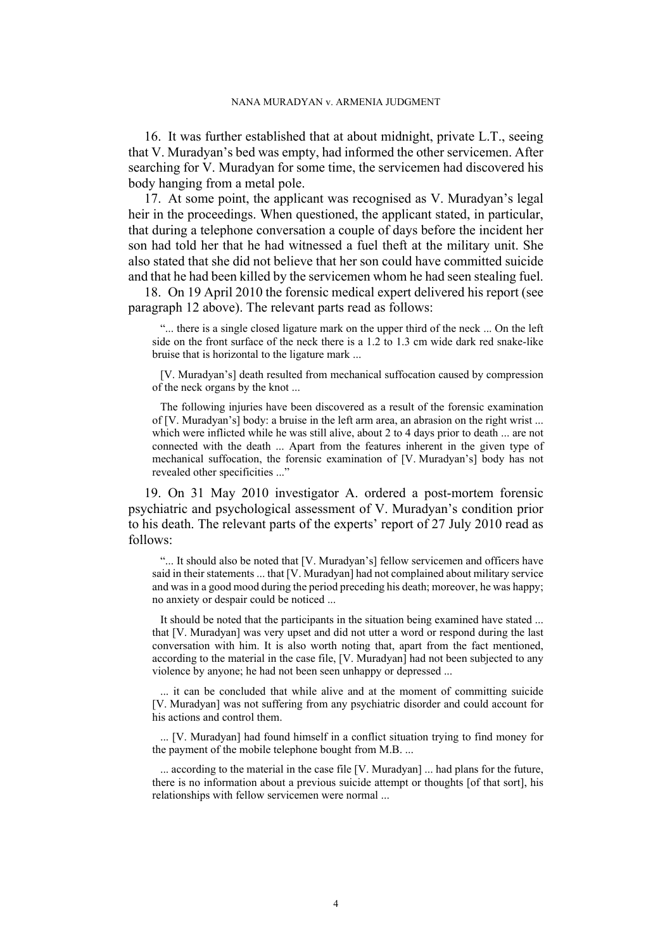<span id="page-5-1"></span>16. It was further established that at about midnight, private L.T., seeing that V. Muradyan's bed was empty, had informed the other servicemen. After searching for V. Muradyan for some time, the servicemen had discovered his body hanging from a metal pole.

<span id="page-5-2"></span>17. At some point, the applicant was recognised as V. Muradyan's legal heir in the proceedings. When questioned, the applicant stated, in particular, that during a telephone conversation a couple of days before the incident her son had told her that he had witnessed a fuel theft at the military unit. She also stated that she did not believe that her son could have committed suicide and that he had been killed by the servicemen whom he had seen stealing fuel.

<span id="page-5-0"></span>18. On 19 April 2010 the forensic medical expert delivered his report (see paragraph [12](#page-4-0) above). The relevant parts read as follows:

"... there is a single closed ligature mark on the upper third of the neck ... On the left side on the front surface of the neck there is a 1.2 to 1.3 cm wide dark red snake-like bruise that is horizontal to the ligature mark ...

[V. Muradyan's] death resulted from mechanical suffocation caused by compression of the neck organs by the knot ...

The following injuries have been discovered as a result of the forensic examination of [V. Muradyan's] body: a bruise in the left arm area, an abrasion on the right wrist ... which were inflicted while he was still alive, about 2 to 4 days prior to death ... are not connected with the death ... Apart from the features inherent in the given type of mechanical suffocation, the forensic examination of [V. Muradyan's] body has not revealed other specificities ..."

<span id="page-5-3"></span>19. On 31 May 2010 investigator A. ordered a post-mortem forensic psychiatric and psychological assessment of V. Muradyan's condition prior to his death. The relevant parts of the experts' report of 27 July 2010 read as follows:

"... It should also be noted that [V. Muradyan's] fellow servicemen and officers have said in their statements ... that [V. Muradyan] had not complained about military service and was in a good mood during the period preceding his death; moreover, he was happy; no anxiety or despair could be noticed ...

It should be noted that the participants in the situation being examined have stated ... that [V. Muradyan] was very upset and did not utter a word or respond during the last conversation with him. It is also worth noting that, apart from the fact mentioned, according to the material in the case file, [V. Muradyan] had not been subjected to any violence by anyone; he had not been seen unhappy or depressed ...

... it can be concluded that while alive and at the moment of committing suicide [V. Muradyan] was not suffering from any psychiatric disorder and could account for his actions and control them.

... [V. Muradyan] had found himself in a conflict situation trying to find money for the payment of the mobile telephone bought from M.B. ...

... according to the material in the case file [V. Muradyan] ... had plans for the future, there is no information about a previous suicide attempt or thoughts [of that sort], his relationships with fellow servicemen were normal ...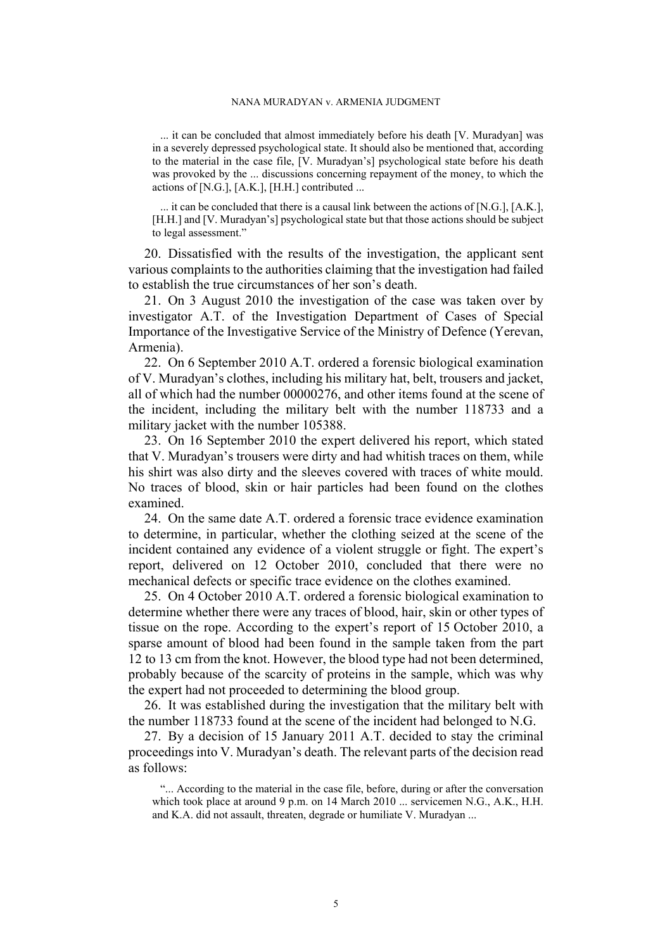... it can be concluded that almost immediately before his death [V. Muradyan] was in a severely depressed psychological state. It should also be mentioned that, according to the material in the case file, [V. Muradyan's] psychological state before his death was provoked by the ... discussions concerning repayment of the money, to which the actions of  $[N.G.]$ ,  $[A.K.]$ ,  $[H.H.]$  contributed ...

... it can be concluded that there is a causal link between the actions of [N.G.], [A.K.], [H.H.] and [V. Muradyan's] psychological state but that those actions should be subject to legal assessment."

20. Dissatisfied with the results of the investigation, the applicant sent various complaints to the authorities claiming that the investigation had failed to establish the true circumstances of her son's death.

<span id="page-6-1"></span>21. On 3 August 2010 the investigation of the case was taken over by investigator A.T. of the Investigation Department of Cases of Special Importance of the Investigative Service of the Ministry of Defence (Yerevan, Armenia).

<span id="page-6-2"></span>22. On 6 September 2010 A.T. ordered a forensic biological examination of V. Muradyan's clothes, including his military hat, belt, trousers and jacket, all of which had the number 00000276, and other items found at the scene of the incident, including the military belt with the number 118733 and a military jacket with the number 105388.

<span id="page-6-3"></span>23. On 16 September 2010 the expert delivered his report, which stated that V. Muradyan's trousers were dirty and had whitish traces on them, while his shirt was also dirty and the sleeves covered with traces of white mould. No traces of blood, skin or hair particles had been found on the clothes examined.

24. On the same date A.T. ordered a forensic trace evidence examination to determine, in particular, whether the clothing seized at the scene of the incident contained any evidence of a violent struggle or fight. The expert's report, delivered on 12 October 2010, concluded that there were no mechanical defects or specific trace evidence on the clothes examined.

<span id="page-6-4"></span>25. On 4 October 2010 A.T. ordered a forensic biological examination to determine whether there were any traces of blood, hair, skin or other types of tissue on the rope. According to the expert's report of 15 October 2010, a sparse amount of blood had been found in the sample taken from the part 12 to 13 cm from the knot. However, the blood type had not been determined, probably because of the scarcity of proteins in the sample, which was why the expert had not proceeded to determining the blood group.

26. It was established during the investigation that the military belt with the number 118733 found at the scene of the incident had belonged to N.G.

<span id="page-6-0"></span>27. By a decision of 15 January 2011 A.T. decided to stay the criminal proceedings into V. Muradyan's death. The relevant parts of the decision read as follows:

"... According to the material in the case file, before, during or after the conversation which took place at around 9 p.m. on 14 March 2010 ... servicemen N.G., A.K., H.H. and K.A. did not assault, threaten, degrade or humiliate V. Muradyan ...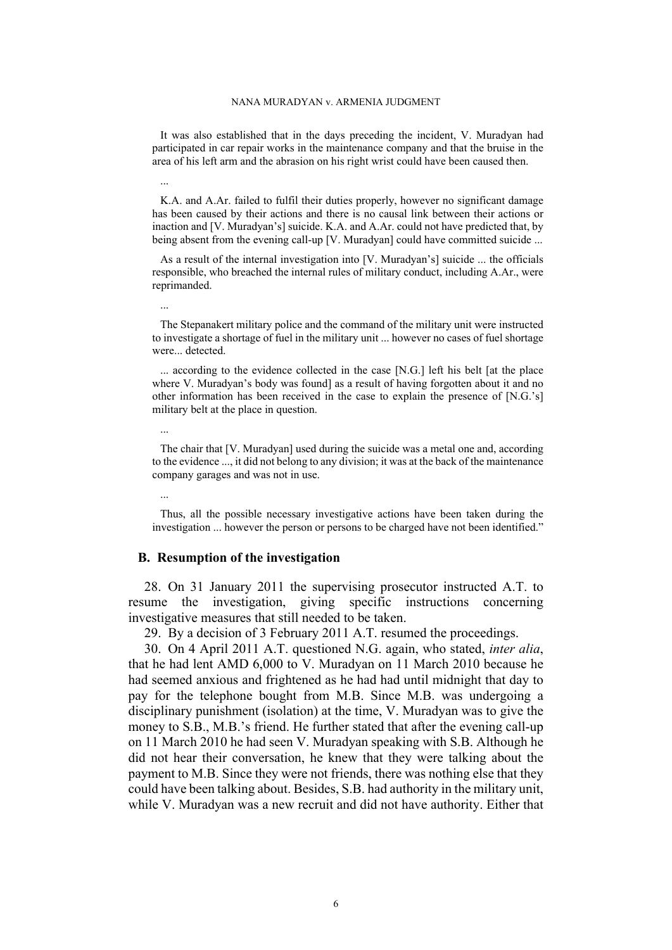It was also established that in the days preceding the incident, V. Muradyan had participated in car repair works in the maintenance company and that the bruise in the area of his left arm and the abrasion on his right wrist could have been caused then.

K.A. and A.Ar. failed to fulfil their duties properly, however no significant damage has been caused by their actions and there is no causal link between their actions or inaction and [V. Muradyan's] suicide. K.A. and A.Ar. could not have predicted that, by being absent from the evening call-up [V. Muradyan] could have committed suicide ...

As a result of the internal investigation into [V. Muradyan's] suicide ... the officials responsible, who breached the internal rules of military conduct, including A.Ar., were reprimanded.

The Stepanakert military police and the command of the military unit were instructed to investigate a shortage of fuel in the military unit ... however no cases of fuel shortage were... detected.

... according to the evidence collected in the case [N.G.] left his belt [at the place where V. Muradyan's body was found] as a result of having forgotten about it and no other information has been received in the case to explain the presence of [N.G.'s] military belt at the place in question.

The chair that [V. Muradyan] used during the suicide was a metal one and, according to the evidence ..., it did not belong to any division; it was at the back of the maintenance company garages and was not in use.

Thus, all the possible necessary investigative actions have been taken during the investigation ... however the person or persons to be charged have not been identified."

### **B. Resumption of the investigation**

...

...

...

...

<span id="page-7-1"></span>28. On 31 January 2011 the supervising prosecutor instructed A.T. to resume the investigation, giving specific instructions concerning investigative measures that still needed to be taken.

<span id="page-7-0"></span>29. By a decision of 3 February 2011 A.T. resumed the proceedings.

30. On 4 April 2011 A.T. questioned N.G. again, who stated, *inter alia*, that he had lent AMD 6,000 to V. Muradyan on 11 March 2010 because he had seemed anxious and frightened as he had had until midnight that day to pay for the telephone bought from M.B. Since M.B. was undergoing a disciplinary punishment (isolation) at the time, V. Muradyan was to give the money to S.B., M.B.'s friend. He further stated that after the evening call-up on 11 March 2010 he had seen V. Muradyan speaking with S.B. Although he did not hear their conversation, he knew that they were talking about the payment to M.B. Since they were not friends, there was nothing else that they could have been talking about. Besides, S.B. had authority in the military unit, while V. Muradyan was a new recruit and did not have authority. Either that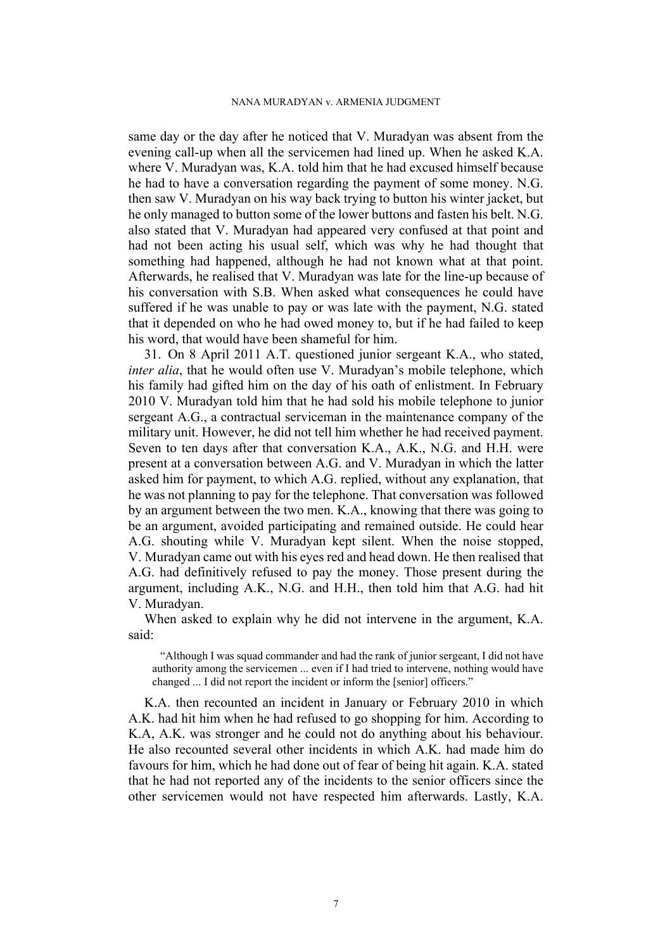same day or the day after he noticed that V. Muradyan was absent from the evening call-up when all the servicemen had lined up. When he asked K.A. where V. Muradyan was, K.A. told him that he had excused himself because he had to have a conversation regarding the payment of some money. N.G. then saw V. Muradyan on his way back trying to button his winter jacket, but he only managed to button some of the lower buttons and fasten his belt. N.G. also stated that V. Muradyan had appeared very confused at that point and had not been acting his usual self, which was why he had thought that something had happened, although he had not known what at that point. Afterwards, he realised that V. Muradyan was late for the line-up because of his conversation with S.B. When asked what consequences he could have suffered if he was unable to pay or was late with the payment, N.G. stated that it depended on who he had owed money to, but if he had failed to keep his word, that would have been shameful for him.

<span id="page-8-0"></span>31. On 8 April 2011 A.T. questioned junior sergeant K.A., who stated, *inter alia*, that he would often use V. Muradyan's mobile telephone, which his family had gifted him on the day of his oath of enlistment. In February 2010 V. Muradyan told him that he had sold his mobile telephone to junior sergeant A.G., a contractual serviceman in the maintenance company of the military unit. However, he did not tell him whether he had received payment. Seven to ten days after that conversation K.A., A.K., N.G. and H.H. were present at a conversation between A.G. and V. Muradyan in which the latter asked him for payment, to which A.G. replied, without any explanation, that he was not planning to pay for the telephone. That conversation was followed by an argument between the two men. K.A., knowing that there was going to be an argument, avoided participating and remained outside. He could hear A.G. shouting while V. Muradyan kept silent. When the noise stopped, V. Muradyan came out with his eyes red and head down. He then realised that A.G. had definitively refused to pay the money. Those present during the argument, including A.K., N.G. and H.H., then told him that A.G. had hit V. Muradyan.

When asked to explain why he did not intervene in the argument, K.A. said:

"Although I was squad commander and had the rank of junior sergeant, I did not have authority among the servicemen ... even if I had tried to intervene, nothing would have changed ... I did not report the incident or inform the [senior] officers."

K.A. then recounted an incident in January or February 2010 in which A.K. had hit him when he had refused to go shopping for him. According to K.A, A.K. was stronger and he could not do anything about his behaviour. He also recounted several other incidents in which A.K. had made him do favours for him, which he had done out of fear of being hit again. K.A. stated that he had not reported any of the incidents to the senior officers since the other servicemen would not have respected him afterwards. Lastly, K.A.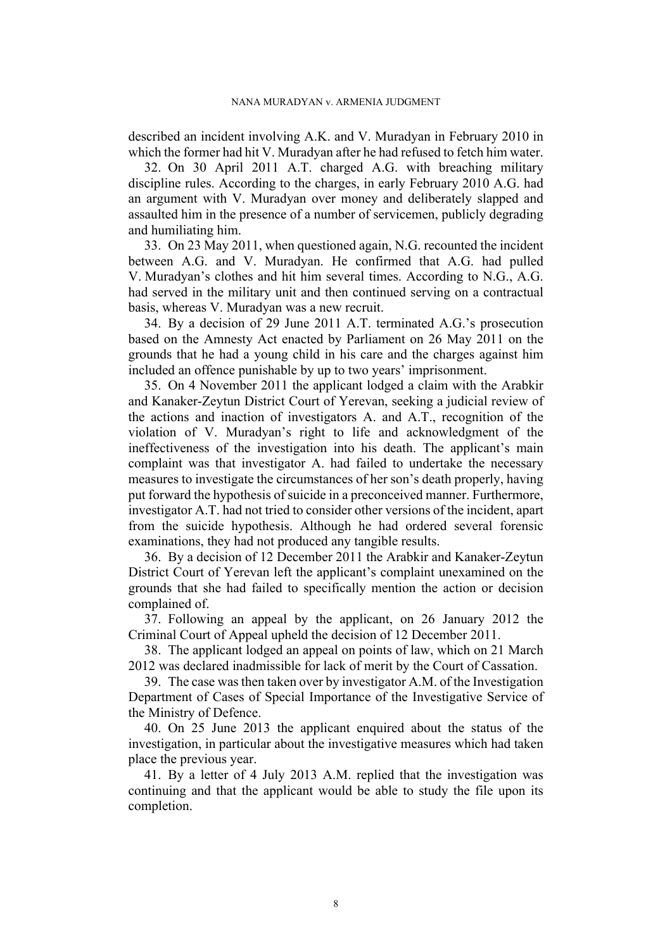described an incident involving A.K. and V. Muradyan in February 2010 in which the former had hit V. Muradyan after he had refused to fetch him water.

<span id="page-9-1"></span>32. On 30 April 2011 A.T. charged A.G. with breaching military discipline rules. According to the charges, in early February 2010 A.G. had an argument with V. Muradyan over money and deliberately slapped and assaulted him in the presence of a number of servicemen, publicly degrading and humiliating him.

<span id="page-9-0"></span>33. On 23 May 2011, when questioned again, N.G. recounted the incident between A.G. and V. Muradyan. He confirmed that A.G. had pulled V. Muradyan's clothes and hit him several times. According to N.G., A.G. had served in the military unit and then continued serving on a contractual basis, whereas V. Muradyan was a new recruit.

34. By a decision of 29 June 2011 A.T. terminated A.G.'s prosecution based on the Amnesty Act enacted by Parliament on 26 May 2011 on the grounds that he had a young child in his care and the charges against him included an offence punishable by up to two years' imprisonment.

35. On 4 November 2011 the applicant lodged a claim with the Arabkir and Kanaker-Zeytun District Court of Yerevan, seeking a judicial review of the actions and inaction of investigators A. and A.T., recognition of the violation of V. Muradyan's right to life and acknowledgment of the ineffectiveness of the investigation into his death. The applicant's main complaint was that investigator A. had failed to undertake the necessary measures to investigate the circumstances of her son's death properly, having put forward the hypothesis of suicide in a preconceived manner. Furthermore, investigator A.T. had not tried to consider other versions of the incident, apart from the suicide hypothesis. Although he had ordered several forensic examinations, they had not produced any tangible results.

36. By a decision of 12 December 2011 the Arabkir and Kanaker-Zeytun District Court of Yerevan left the applicant's complaint unexamined on the grounds that she had failed to specifically mention the action or decision complained of.

37. Following an appeal by the applicant, on 26 January 2012 the Criminal Court of Appeal upheld the decision of 12 December 2011.

38. The applicant lodged an appeal on points of law, which on 21 March 2012 was declared inadmissible for lack of merit by the Court of Cassation.

39. The case was then taken over by investigator A.M. of the Investigation Department of Cases of Special Importance of the Investigative Service of the Ministry of Defence.

40. On 25 June 2013 the applicant enquired about the status of the investigation, in particular about the investigative measures which had taken place the previous year.

41. By a letter of 4 July 2013 A.M. replied that the investigation was continuing and that the applicant would be able to study the file upon its completion.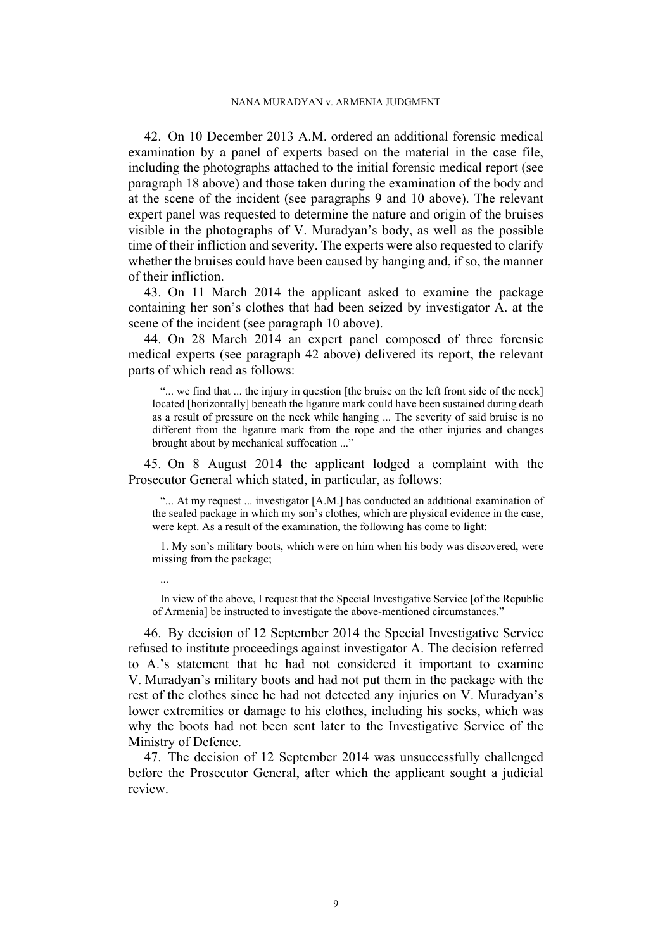<span id="page-10-0"></span>42. On 10 December 2013 A.M. ordered an additional forensic medical examination by a panel of experts based on the material in the case file, including the photographs attached to the initial forensic medical report (see paragraph [18](#page-5-0) above) and those taken during the examination of the body and at the scene of the incident (see paragraphs [9](#page-3-0) and [10](#page-3-1) above). The relevant expert panel was requested to determine the nature and origin of the bruises visible in the photographs of V. Muradyan's body, as well as the possible time of their infliction and severity. The experts were also requested to clarify whether the bruises could have been caused by hanging and, if so, the manner of their infliction.

43. On 11 March 2014 the applicant asked to examine the package containing her son's clothes that had been seized by investigator A. at the scene of the incident (see paragraph [10](#page-3-1) above).

44. On 28 March 2014 an expert panel composed of three forensic medical experts (see paragraph [42](#page-10-0) above) delivered its report, the relevant parts of which read as follows:

"... we find that ... the injury in question [the bruise on the left front side of the neck] located [horizontally] beneath the ligature mark could have been sustained during death as a result of pressure on the neck while hanging ... The severity of said bruise is no different from the ligature mark from the rope and the other injuries and changes brought about by mechanical suffocation ..."

<span id="page-10-1"></span>45. On 8 August 2014 the applicant lodged a complaint with the Prosecutor General which stated, in particular, as follows:

"... At my request ... investigator [A.M.] has conducted an additional examination of the sealed package in which my son's clothes, which are physical evidence in the case, were kept. As a result of the examination, the following has come to light:

1. My son's military boots, which were on him when his body was discovered, were missing from the package;

In view of the above, I request that the Special Investigative Service [of the Republic of Armenia] be instructed to investigate the above-mentioned circumstances."

...

<span id="page-10-2"></span>46. By decision of 12 September 2014 the Special Investigative Service refused to institute proceedings against investigator A. The decision referred to A.'s statement that he had not considered it important to examine V. Muradyan's military boots and had not put them in the package with the rest of the clothes since he had not detected any injuries on V. Muradyan's lower extremities or damage to his clothes, including his socks, which was why the boots had not been sent later to the Investigative Service of the Ministry of Defence.

47. The decision of 12 September 2014 was unsuccessfully challenged before the Prosecutor General, after which the applicant sought a judicial review.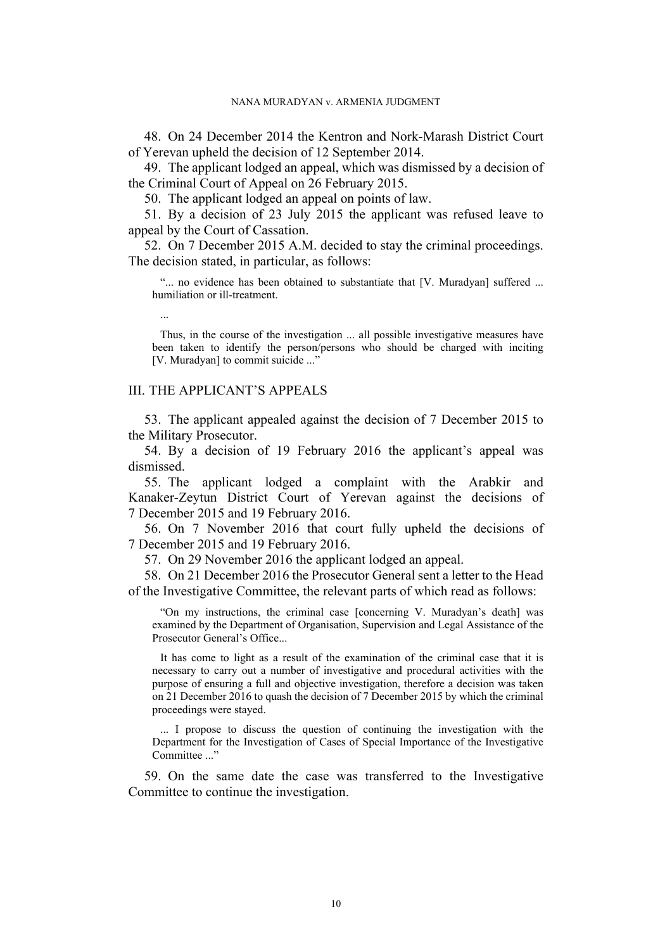48. On 24 December 2014 the Kentron and Nork-Marash District Court of Yerevan upheld the decision of 12 September 2014.

49. The applicant lodged an appeal, which was dismissed by a decision of the Criminal Court of Appeal on 26 February 2015.

50. The applicant lodged an appeal on points of law.

51. By a decision of 23 July 2015 the applicant was refused leave to appeal by the Court of Cassation.

<span id="page-11-1"></span>52. On 7 December 2015 A.M. decided to stay the criminal proceedings. The decision stated, in particular, as follows:

"... no evidence has been obtained to substantiate that [V. Muradyan] suffered ... humiliation or ill-treatment.

Thus, in the course of the investigation ... all possible investigative measures have been taken to identify the person/persons who should be charged with inciting [V. Muradyan] to commit suicide ..."

# III. THE APPLICANT'S APPEALS

...

53. The applicant appealed against the decision of 7 December 2015 to the Military Prosecutor.

54. By a decision of 19 February 2016 the applicant's appeal was dismissed.

55. The applicant lodged a complaint with the Arabkir and Kanaker-Zeytun District Court of Yerevan against the decisions of 7 December 2015 and 19 February 2016.

56. On 7 November 2016 that court fully upheld the decisions of 7 December 2015 and 19 February 2016.

<span id="page-11-2"></span><span id="page-11-0"></span>57. On 29 November 2016 the applicant lodged an appeal.

58. On 21 December 2016 the Prosecutor General sent a letter to the Head of the Investigative Committee, the relevant parts of which read as follows:

"On my instructions, the criminal case [concerning V. Muradyan's death] was examined by the Department of Organisation, Supervision and Legal Assistance of the Prosecutor General's Office...

It has come to light as a result of the examination of the criminal case that it is necessary to carry out a number of investigative and procedural activities with the purpose of ensuring a full and objective investigation, therefore a decision was taken on 21 December 2016 to quash the decision of 7 December 2015 by which the criminal proceedings were stayed.

... I propose to discuss the question of continuing the investigation with the Department for the Investigation of Cases of Special Importance of the Investigative Committee ..."

59. On the same date the case was transferred to the Investigative Committee to continue the investigation.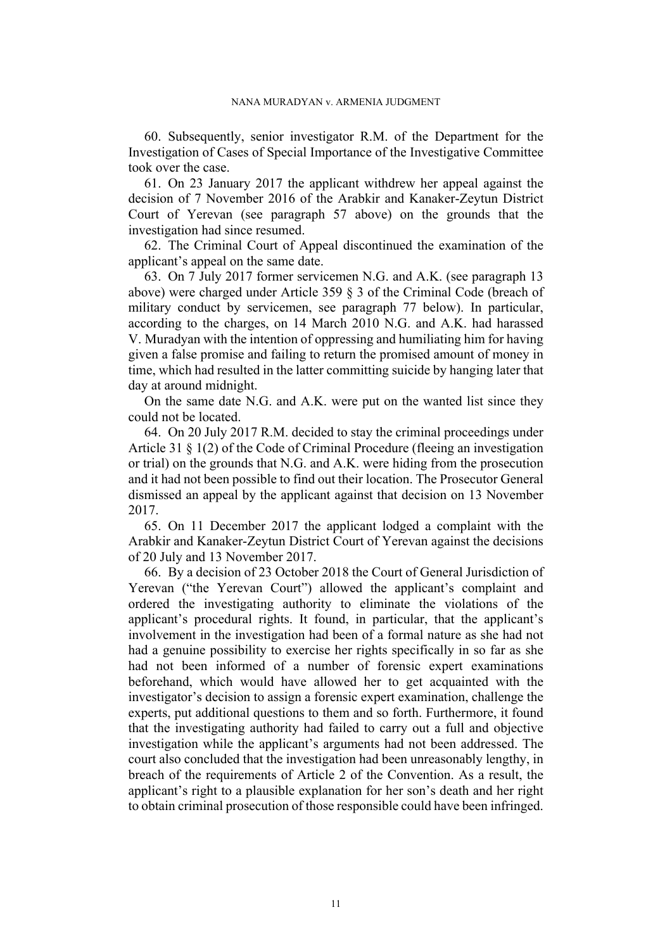60. Subsequently, senior investigator R.M. of the Department for the Investigation of Cases of Special Importance of the Investigative Committee took over the case.

61. On 23 January 2017 the applicant withdrew her appeal against the decision of 7 November 2016 of the Arabkir and Kanaker-Zeytun District Court of Yerevan (see paragraph [57](#page-11-0) above) on the grounds that the investigation had since resumed.

62. The Criminal Court of Appeal discontinued the examination of the applicant's appeal on the same date.

<span id="page-12-2"></span>63. On 7 July 2017 former servicemen N.G. and A.K. (see paragraph [13](#page-4-1)  above) were charged under Article 359 § 3 of the Criminal Code (breach of military conduct by servicemen, see paragraph [77](#page-13-0) below). In particular, according to the charges, on 14 March 2010 N.G. and A.K. had harassed V. Muradyan with the intention of oppressing and humiliating him for having given a false promise and failing to return the promised amount of money in time, which had resulted in the latter committing suicide by hanging later that day at around midnight.

On the same date N.G. and A.K. were put on the wanted list since they could not be located.

<span id="page-12-0"></span>64. On 20 July 2017 R.M. decided to stay the criminal proceedings under Article 31 § 1(2) of the Code of Criminal Procedure (fleeing an investigation or trial) on the grounds that N.G. and A.K. were hiding from the prosecution and it had not been possible to find out their location. The Prosecutor General dismissed an appeal by the applicant against that decision on 13 November 2017.

65. On 11 December 2017 the applicant lodged a complaint with the Arabkir and Kanaker-Zeytun District Court of Yerevan against the decisions of 20 July and 13 November 2017.

<span id="page-12-1"></span>66. By a decision of 23 October 2018 the Court of General Jurisdiction of Yerevan ("the Yerevan Court") allowed the applicant's complaint and ordered the investigating authority to eliminate the violations of the applicant's procedural rights. It found, in particular, that the applicant's involvement in the investigation had been of a formal nature as she had not had a genuine possibility to exercise her rights specifically in so far as she had not been informed of a number of forensic expert examinations beforehand, which would have allowed her to get acquainted with the investigator's decision to assign a forensic expert examination, challenge the experts, put additional questions to them and so forth. Furthermore, it found that the investigating authority had failed to carry out a full and objective investigation while the applicant's arguments had not been addressed. The court also concluded that the investigation had been unreasonably lengthy, in breach of the requirements of Article 2 of the Convention. As a result, the applicant's right to a plausible explanation for her son's death and her right to obtain criminal prosecution of those responsible could have been infringed.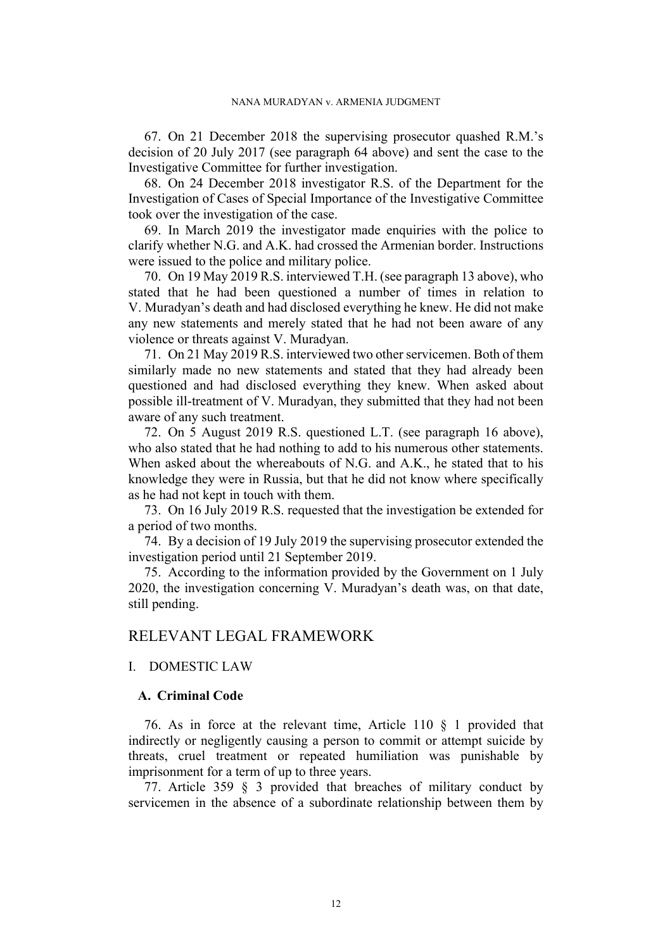67. On 21 December 2018 the supervising prosecutor quashed R.M.'s decision of 20 July 2017 (see paragraph [64](#page-12-0) above) and sent the case to the Investigative Committee for further investigation.

68. On 24 December 2018 investigator R.S. of the Department for the Investigation of Cases of Special Importance of the Investigative Committee took over the investigation of the case.

69. In March 2019 the investigator made enquiries with the police to clarify whether N.G. and A.K. had crossed the Armenian border. Instructions were issued to the police and military police.

<span id="page-13-2"></span>70. On 19 May 2019 R.S. interviewed T.H. (see paragraph [13](#page-4-1) above), who stated that he had been questioned a number of times in relation to V. Muradyan's death and had disclosed everything he knew. He did not make any new statements and merely stated that he had not been aware of any violence or threats against V. Muradyan.

<span id="page-13-3"></span>71. On 21 May 2019 R.S. interviewed two other servicemen. Both of them similarly made no new statements and stated that they had already been questioned and had disclosed everything they knew. When asked about possible ill-treatment of V. Muradyan, they submitted that they had not been aware of any such treatment.

<span id="page-13-4"></span>72. On 5 August 2019 R.S. questioned L.T. (see paragraph [16](#page-5-1) above), who also stated that he had nothing to add to his numerous other statements. When asked about the whereabouts of N.G. and A.K., he stated that to his knowledge they were in Russia, but that he did not know where specifically as he had not kept in touch with them.

73. On 16 July 2019 R.S. requested that the investigation be extended for a period of two months.

74. By a decision of 19 July 2019 the supervising prosecutor extended the investigation period until 21 September 2019.

<span id="page-13-1"></span>75. According to the information provided by the Government on 1 July 2020, the investigation concerning V. Muradyan's death was, on that date, still pending.

# RELEVANT LEGAL FRAMEWORK

# I. DOMESTIC LAW

# **A. Criminal Code**

76. As in force at the relevant time, Article 110 § 1 provided that indirectly or negligently causing a person to commit or attempt suicide by threats, cruel treatment or repeated humiliation was punishable by imprisonment for a term of up to three years.

<span id="page-13-0"></span>77. Article 359 § 3 provided that breaches of military conduct by servicemen in the absence of a subordinate relationship between them by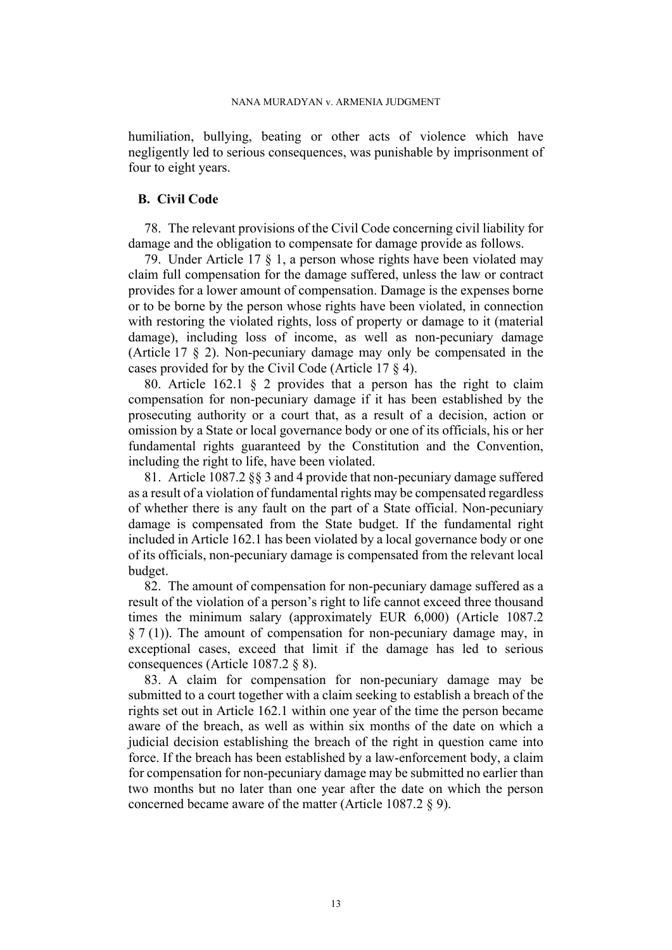humiliation, bullying, beating or other acts of violence which have negligently led to serious consequences, was punishable by imprisonment of four to eight years.

# **B. Civil Code**

78. The relevant provisions of the Civil Code concerning civil liability for damage and the obligation to compensate for damage provide as follows.

79. Under Article 17 § 1, a person whose rights have been violated may claim full compensation for the damage suffered, unless the law or contract provides for a lower amount of compensation. Damage is the expenses borne or to be borne by the person whose rights have been violated, in connection with restoring the violated rights, loss of property or damage to it (material damage), including loss of income, as well as non-pecuniary damage (Article 17 § 2). Non-pecuniary damage may only be compensated in the cases provided for by the Civil Code (Article 17 § 4).

<span id="page-14-0"></span>80. Article 162.1 § 2 provides that a person has the right to claim compensation for non-pecuniary damage if it has been established by the prosecuting authority or a court that, as a result of a decision, action or omission by a State or local governance body or one of its officials, his or her fundamental rights guaranteed by the Constitution and the Convention, including the right to life, have been violated.

81. Article 1087.2 §§ 3 and 4 provide that non-pecuniary damage suffered as a result of a violation of fundamental rights may be compensated regardless of whether there is any fault on the part of a State official. Non-pecuniary damage is compensated from the State budget. If the fundamental right included in Article 162.1 has been violated by a local governance body or one of its officials, non-pecuniary damage is compensated from the relevant local budget.

<span id="page-14-1"></span>82. The amount of compensation for non-pecuniary damage suffered as a result of the violation of a person's right to life cannot exceed three thousand times the minimum salary (approximately EUR 6,000) (Article 1087.2  $\S 7(1)$ ). The amount of compensation for non-pecuniary damage may, in exceptional cases, exceed that limit if the damage has led to serious consequences (Article 1087.2 § 8).

83. A claim for compensation for non-pecuniary damage may be submitted to a court together with a claim seeking to establish a breach of the rights set out in Article 162.1 within one year of the time the person became aware of the breach, as well as within six months of the date on which a judicial decision establishing the breach of the right in question came into force. If the breach has been established by a law-enforcement body, a claim for compensation for non-pecuniary damage may be submitted no earlier than two months but no later than one year after the date on which the person concerned became aware of the matter (Article 1087.2 § 9).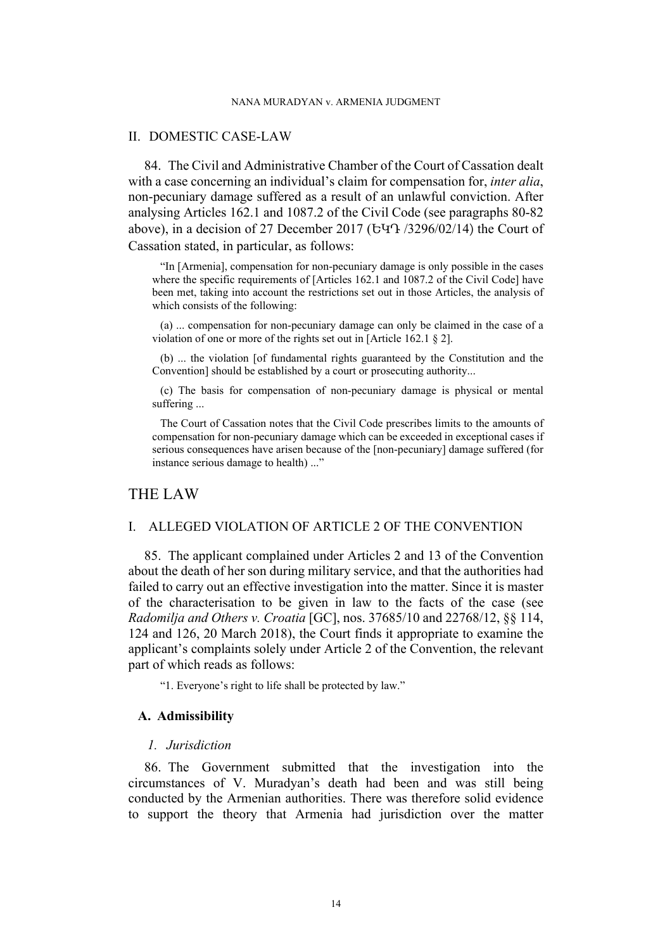#### NANA MURADYAN v. ARMENIA JUDGMENT

## II. DOMESTIC CASE-LAW

<span id="page-15-0"></span>84. The Civil and Administrative Chamber of the Court of Cassation dealt with a case concerning an individual's claim for compensation for, *inter alia*, non-pecuniary damage suffered as a result of an unlawful conviction. After analysing Articles 162.1 and 1087.2 of the Civil Code (see paragraphs [80-](#page-14-0)[82](#page-14-1)  above), in a decision of 27 December 2017 (ԵԿԴ /3296/02/14) the Court of Cassation stated, in particular, as follows:

"In [Armenia], compensation for non-pecuniary damage is only possible in the cases where the specific requirements of [Articles 162.1 and 1087.2 of the Civil Code] have been met, taking into account the restrictions set out in those Articles, the analysis of which consists of the following:

(a) ... compensation for non-pecuniary damage can only be claimed in the case of a violation of one or more of the rights set out in [Article 162.1 § 2].

(b) ... the violation [of fundamental rights guaranteed by the Constitution and the Convention] should be established by a court or prosecuting authority...

(c) The basis for compensation of non-pecuniary damage is physical or mental suffering ...

The Court of Cassation notes that the Civil Code prescribes limits to the amounts of compensation for non-pecuniary damage which can be exceeded in exceptional cases if serious consequences have arisen because of the [non-pecuniary] damage suffered (for instance serious damage to health) ..."

# THE LAW

# I. ALLEGED VIOLATION OF ARTICLE 2 OF THE CONVENTION

85. The applicant complained under Articles 2 and 13 of the Convention about the death of her son during military service, and that the authorities had failed to carry out an effective investigation into the matter. Since it is master of the characterisation to be given in law to the facts of the case (see *Radomilja and Others v. Croatia* [GC], nos. 37685/10 and 22768/12, §§ 114, 124 and 126, 20 March 2018), the Court finds it appropriate to examine the applicant's complaints solely under Article 2 of the Convention, the relevant part of which reads as follows:

"1. Everyone's right to life shall be protected by law."

### **A. Admissibility**

#### *1. Jurisdiction*

86. The Government submitted that the investigation into the circumstances of V. Muradyan's death had been and was still being conducted by the Armenian authorities. There was therefore solid evidence to support the theory that Armenia had jurisdiction over the matter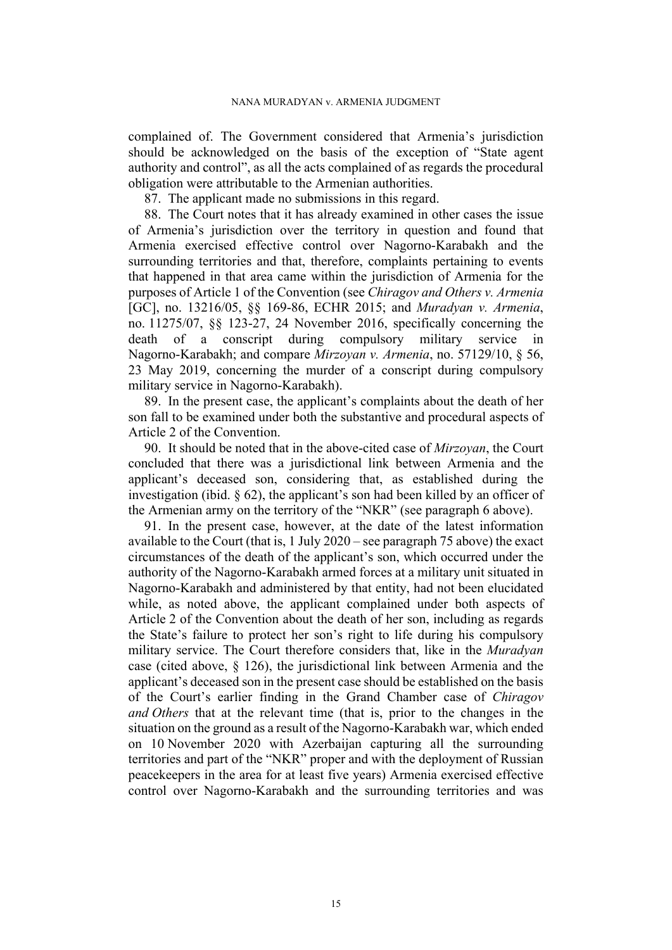complained of. The Government considered that Armenia's jurisdiction should be acknowledged on the basis of the exception of "State agent authority and control", as all the acts complained of as regards the procedural obligation were attributable to the Armenian authorities.

87. The applicant made no submissions in this regard.

88. The Court notes that it has already examined in other cases the issue of Armenia's jurisdiction over the territory in question and found that Armenia exercised effective control over Nagorno-Karabakh and the surrounding territories and that, therefore, complaints pertaining to events that happened in that area came within the jurisdiction of Armenia for the purposes of Article 1 of the Convention (see *Chiragov and Others v. Armenia*  [GC], no. 13216/05, §§ 169-86, ECHR 2015; and *Muradyan v. Armenia*, no. 11275/07, §§ 123-27, 24 November 2016, specifically concerning the death of a conscript during compulsory military service in Nagorno-Karabakh; and compare *Mirzoyan v. Armenia*, no. 57129/10, § 56, 23 May 2019, concerning the murder of a conscript during compulsory military service in Nagorno-Karabakh).

89. In the present case, the applicant's complaints about the death of her son fall to be examined under both the substantive and procedural aspects of Article 2 of the Convention.

90. It should be noted that in the above-cited case of *Mirzoyan*, the Court concluded that there was a jurisdictional link between Armenia and the applicant's deceased son, considering that, as established during the investigation (ibid. § 62), the applicant's son had been killed by an officer of the Armenian army on the territory of the "NKR" (see paragraph [6](#page-3-2) above).

91. In the present case, however, at the date of the latest information available to the Court (that is, 1 July 2020 – see paragraph [75](#page-13-1) above) the exact circumstances of the death of the applicant's son, which occurred under the authority of the Nagorno-Karabakh armed forces at a military unit situated in Nagorno-Karabakh and administered by that entity, had not been elucidated while, as noted above, the applicant complained under both aspects of Article 2 of the Convention about the death of her son, including as regards the State's failure to protect her son's right to life during his compulsory military service. The Court therefore considers that, like in the *Muradyan* case (cited above, § 126), the jurisdictional link between Armenia and the applicant's deceased son in the present case should be established on the basis of the Court's earlier finding in the Grand Chamber case of *Chiragov and Others* that at the relevant time (that is, prior to the changes in the situation on the ground as a result of the Nagorno-Karabakh war, which ended on 10 November 2020 with Azerbaijan capturing all the surrounding territories and part of the "NKR" proper and with the deployment of Russian peacekeepers in the area for at least five years) Armenia exercised effective control over Nagorno-Karabakh and the surrounding territories and was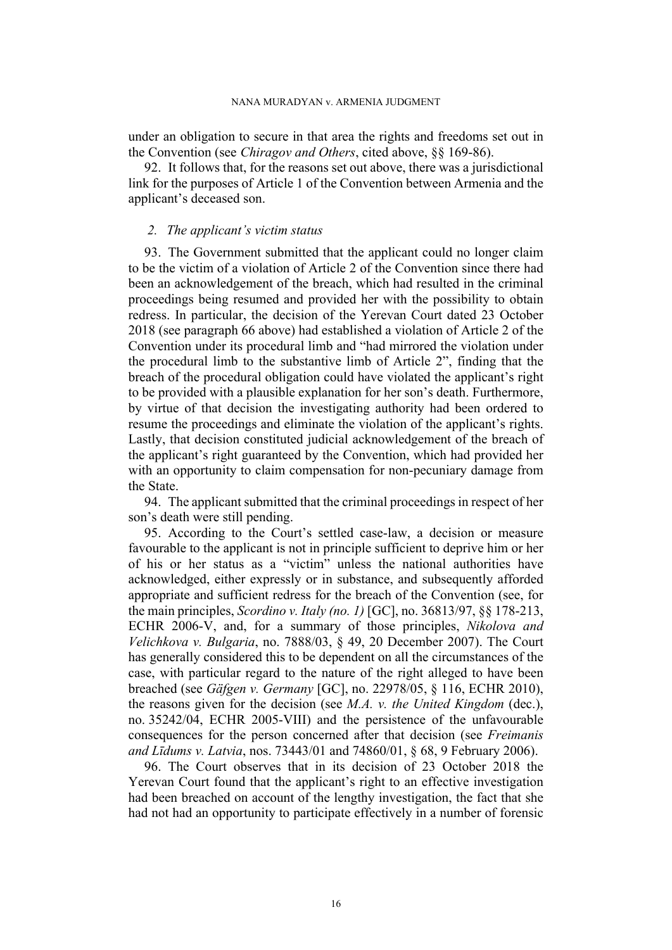#### NANA MURADYAN v. ARMENIA JUDGMENT

under an obligation to secure in that area the rights and freedoms set out in the Convention (see *Chiragov and Others*, cited above, §§ 169-86).

92. It follows that, for the reasons set out above, there was a jurisdictional link for the purposes of Article 1 of the Convention between Armenia and the applicant's deceased son.

## *2. The applicant's victim status*

93. The Government submitted that the applicant could no longer claim to be the victim of a violation of Article 2 of the Convention since there had been an acknowledgement of the breach, which had resulted in the criminal proceedings being resumed and provided her with the possibility to obtain redress. In particular, the decision of the Yerevan Court dated 23 October 2018 (see paragraph [66](#page-12-1) above) had established a violation of Article 2 of the Convention under its procedural limb and "had mirrored the violation under the procedural limb to the substantive limb of Article 2", finding that the breach of the procedural obligation could have violated the applicant's right to be provided with a plausible explanation for her son's death. Furthermore, by virtue of that decision the investigating authority had been ordered to resume the proceedings and eliminate the violation of the applicant's rights. Lastly, that decision constituted judicial acknowledgement of the breach of the applicant's right guaranteed by the Convention, which had provided her with an opportunity to claim compensation for non-pecuniary damage from the State.

94. The applicant submitted that the criminal proceedings in respect of her son's death were still pending.

95. According to the Court's settled case-law, a decision or measure favourable to the applicant is not in principle sufficient to deprive him or her of his or her status as a "victim" unless the national authorities have acknowledged, either expressly or in substance, and subsequently afforded appropriate and sufficient redress for the breach of the Convention (see, for the main principles, *Scordino v. Italy (no. 1)* [GC], no. 36813/97, §§ 178-213, ECHR 2006-V, and, for a summary of those principles, *Nikolova and Velichkova v. Bulgaria*, no. 7888/03, § 49, 20 December 2007). The Court has generally considered this to be dependent on all the circumstances of the case, with particular regard to the nature of the right alleged to have been breached (see *Gäfgen v. Germany* [GC], no. 22978/05, § 116, ECHR 2010), the reasons given for the decision (see *M.A. v. the United Kingdom* (dec.), no. 35242/04, ECHR 2005-VIII) and the persistence of the unfavourable consequences for the person concerned after that decision (see *Freimanis and Līdums v. Latvia*, nos. 73443/01 and 74860/01, § 68, 9 February 2006).

96. The Court observes that in its decision of 23 October 2018 the Yerevan Court found that the applicant's right to an effective investigation had been breached on account of the lengthy investigation, the fact that she had not had an opportunity to participate effectively in a number of forensic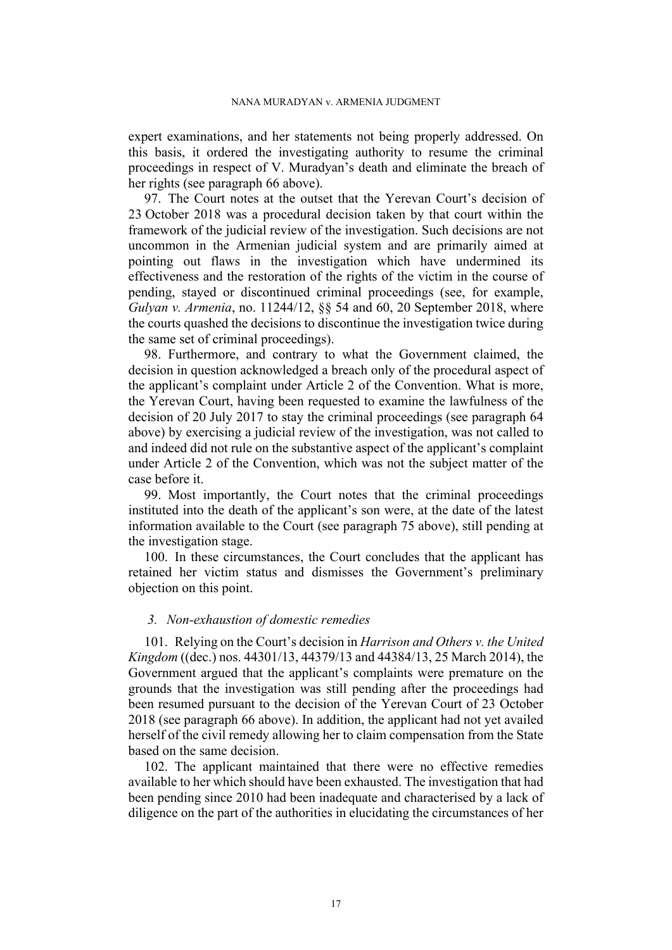expert examinations, and her statements not being properly addressed. On this basis, it ordered the investigating authority to resume the criminal proceedings in respect of V. Muradyan's death and eliminate the breach of her rights (see paragraph [66](#page-12-1) above).

97. The Court notes at the outset that the Yerevan Court's decision of 23 October 2018 was a procedural decision taken by that court within the framework of the judicial review of the investigation. Such decisions are not uncommon in the Armenian judicial system and are primarily aimed at pointing out flaws in the investigation which have undermined its effectiveness and the restoration of the rights of the victim in the course of pending, stayed or discontinued criminal proceedings (see, for example, *Gulyan v. Armenia*, no. 11244/12, §§ 54 and 60, 20 September 2018, where the courts quashed the decisions to discontinue the investigation twice during the same set of criminal proceedings).

98. Furthermore, and contrary to what the Government claimed, the decision in question acknowledged a breach only of the procedural aspect of the applicant's complaint under Article 2 of the Convention. What is more, the Yerevan Court, having been requested to examine the lawfulness of the decision of 20 July 2017 to stay the criminal proceedings (see paragraph [64](#page-12-0)  above) by exercising a judicial review of the investigation, was not called to and indeed did not rule on the substantive aspect of the applicant's complaint under Article 2 of the Convention, which was not the subject matter of the case before it.

99. Most importantly, the Court notes that the criminal proceedings instituted into the death of the applicant's son were, at the date of the latest information available to the Court (see paragraph [75](#page-13-1) above), still pending at the investigation stage.

100. In these circumstances, the Court concludes that the applicant has retained her victim status and dismisses the Government's preliminary objection on this point.

# *3. Non-exhaustion of domestic remedies*

101. Relying on the Court's decision in *Harrison and Others v. the United Kingdom* ((dec.) nos. 44301/13, 44379/13 and 44384/13, 25 March 2014), the Government argued that the applicant's complaints were premature on the grounds that the investigation was still pending after the proceedings had been resumed pursuant to the decision of the Yerevan Court of 23 October 2018 (see paragraph [66](#page-12-1) above). In addition, the applicant had not yet availed herself of the civil remedy allowing her to claim compensation from the State based on the same decision.

102. The applicant maintained that there were no effective remedies available to her which should have been exhausted. The investigation that had been pending since 2010 had been inadequate and characterised by a lack of diligence on the part of the authorities in elucidating the circumstances of her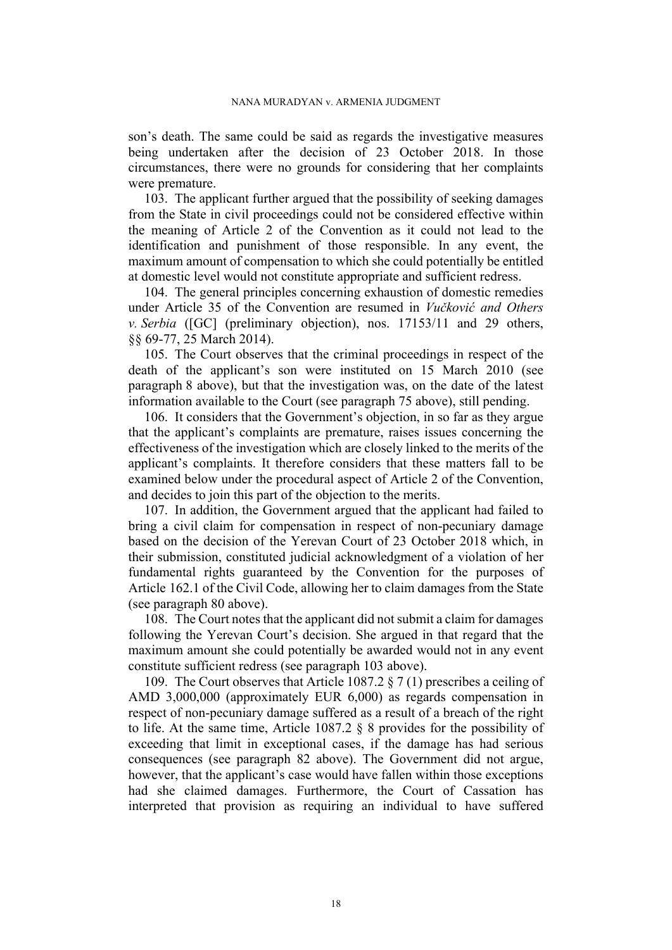son's death. The same could be said as regards the investigative measures being undertaken after the decision of 23 October 2018. In those circumstances, there were no grounds for considering that her complaints were premature.

<span id="page-19-0"></span>103. The applicant further argued that the possibility of seeking damages from the State in civil proceedings could not be considered effective within the meaning of Article 2 of the Convention as it could not lead to the identification and punishment of those responsible. In any event, the maximum amount of compensation to which she could potentially be entitled at domestic level would not constitute appropriate and sufficient redress.

104. The general principles concerning exhaustion of domestic remedies under Article 35 of the Convention are resumed in *Vučković and Others v. Serbia* ([GC] (preliminary objection), nos. 17153/11 and 29 others, §§ 69-77, 25 March 2014).

105. The Court observes that the criminal proceedings in respect of the death of the applicant's son were instituted on 15 March 2010 (see paragraph [8](#page-3-3) above), but that the investigation was, on the date of the latest information available to the Court (see paragraph [75](#page-13-1) above), still pending.

<span id="page-19-1"></span>106. It considers that the Government's objection, in so far as they argue that the applicant's complaints are premature, raises issues concerning the effectiveness of the investigation which are closely linked to the merits of the applicant's complaints. It therefore considers that these matters fall to be examined below under the procedural aspect of Article 2 of the Convention, and decides to join this part of the objection to the merits.

107. In addition, the Government argued that the applicant had failed to bring a civil claim for compensation in respect of non-pecuniary damage based on the decision of the Yerevan Court of 23 October 2018 which, in their submission, constituted judicial acknowledgment of a violation of her fundamental rights guaranteed by the Convention for the purposes of Article 162.1 of the Civil Code, allowing her to claim damages from the State (see paragraph [80](#page-14-0) above).

108. The Court notes that the applicant did not submit a claim for damages following the Yerevan Court's decision. She argued in that regard that the maximum amount she could potentially be awarded would not in any event constitute sufficient redress (see paragraph [103](#page-19-0) above).

109. The Court observes that Article 1087.2 § 7 (1) prescribes a ceiling of AMD 3,000,000 (approximately EUR 6,000) as regards compensation in respect of non-pecuniary damage suffered as a result of a breach of the right to life. At the same time, Article 1087.2 § 8 provides for the possibility of exceeding that limit in exceptional cases, if the damage has had serious consequences (see paragraph [82](#page-14-1) above). The Government did not argue, however, that the applicant's case would have fallen within those exceptions had she claimed damages. Furthermore, the Court of Cassation has interpreted that provision as requiring an individual to have suffered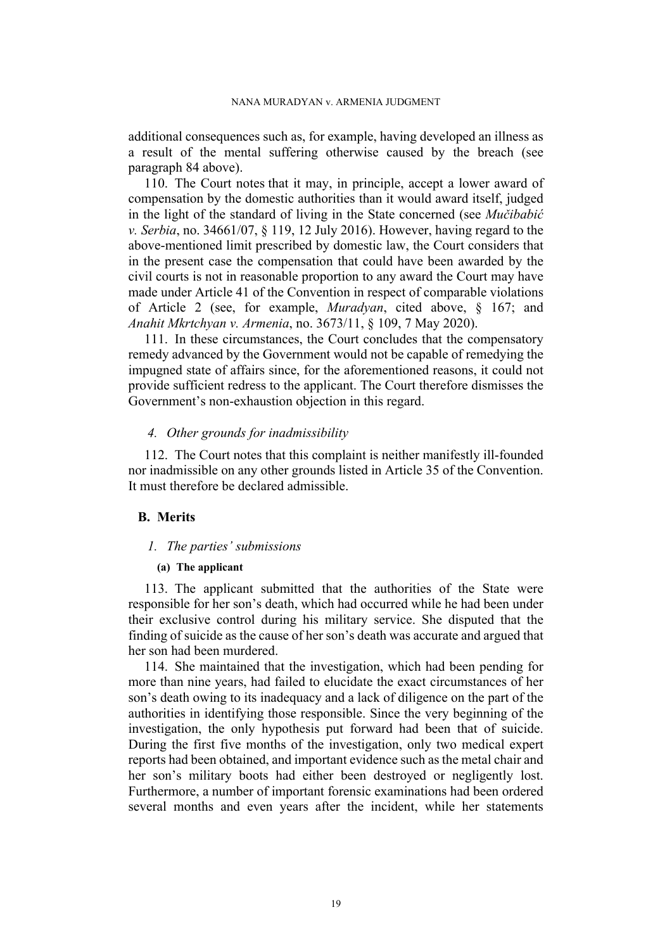additional consequences such as, for example, having developed an illness as a result of the mental suffering otherwise caused by the breach (see paragraph [84](#page-15-0) above).

110. The Court notes that it may, in principle, accept a lower award of compensation by the domestic authorities than it would award itself, judged in the light of the standard of living in the State concerned (see *Mučibabić v. Serbia*, no. 34661/07, § 119, 12 July 2016). However, having regard to the above-mentioned limit prescribed by domestic law, the Court considers that in the present case the compensation that could have been awarded by the civil courts is not in reasonable proportion to any award the Court may have made under Article 41 of the Convention in respect of comparable violations of Article 2 (see, for example, *Muradyan*, cited above, § 167; and *Anahit Mkrtchyan v. Armenia*, no. 3673/11, § 109, 7 May 2020).

111. In these circumstances, the Court concludes that the compensatory remedy advanced by the Government would not be capable of remedying the impugned state of affairs since, for the aforementioned reasons, it could not provide sufficient redress to the applicant. The Court therefore dismisses the Government's non-exhaustion objection in this regard.

### *4. Other grounds for inadmissibility*

112. The Court notes that this complaint is neither manifestly ill-founded nor inadmissible on any other grounds listed in Article 35 of the Convention. It must therefore be declared admissible.

# **B. Merits**

#### *1. The parties' submissions*

## **(a) The applicant**

<span id="page-20-0"></span>113. The applicant submitted that the authorities of the State were responsible for her son's death, which had occurred while he had been under their exclusive control during his military service. She disputed that the finding of suicide as the cause of her son's death was accurate and argued that her son had been murdered.

114. She maintained that the investigation, which had been pending for more than nine years, had failed to elucidate the exact circumstances of her son's death owing to its inadequacy and a lack of diligence on the part of the authorities in identifying those responsible. Since the very beginning of the investigation, the only hypothesis put forward had been that of suicide. During the first five months of the investigation, only two medical expert reports had been obtained, and important evidence such as the metal chair and her son's military boots had either been destroyed or negligently lost. Furthermore, a number of important forensic examinations had been ordered several months and even years after the incident, while her statements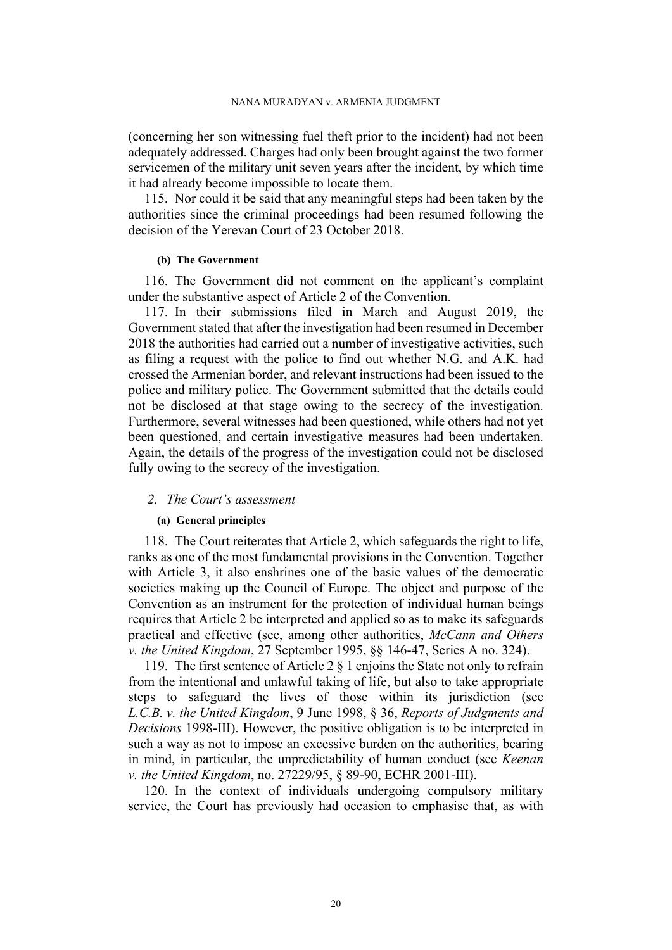(concerning her son witnessing fuel theft prior to the incident) had not been adequately addressed. Charges had only been brought against the two former servicemen of the military unit seven years after the incident, by which time it had already become impossible to locate them.

115. Nor could it be said that any meaningful steps had been taken by the authorities since the criminal proceedings had been resumed following the decision of the Yerevan Court of 23 October 2018.

#### **(b) The Government**

116. The Government did not comment on the applicant's complaint under the substantive aspect of Article 2 of the Convention.

<span id="page-21-0"></span>117. In their submissions filed in March and August 2019, the Government stated that after the investigation had been resumed in December 2018 the authorities had carried out a number of investigative activities, such as filing a request with the police to find out whether N.G. and A.K. had crossed the Armenian border, and relevant instructions had been issued to the police and military police. The Government submitted that the details could not be disclosed at that stage owing to the secrecy of the investigation. Furthermore, several witnesses had been questioned, while others had not yet been questioned, and certain investigative measures had been undertaken. Again, the details of the progress of the investigation could not be disclosed fully owing to the secrecy of the investigation.

## *2. The Court's assessment*

#### **(a) General principles**

118. The Court reiterates that Article 2, which safeguards the right to life, ranks as one of the most fundamental provisions in the Convention. Together with Article 3, it also enshrines one of the basic values of the democratic societies making up the Council of Europe. The object and purpose of the Convention as an instrument for the protection of individual human beings requires that Article 2 be interpreted and applied so as to make its safeguards practical and effective (see, among other authorities, *McCann and Others v. the United Kingdom*, 27 September 1995, §§ 146-47, Series A no. 324).

119. The first sentence of Article 2 § 1 enjoins the State not only to refrain from the intentional and unlawful taking of life, but also to take appropriate steps to safeguard the lives of those within its jurisdiction (see *L.C.B. v. the United Kingdom*, 9 June 1998, § 36, *Reports of Judgments and Decisions* 1998-III). However, the positive obligation is to be interpreted in such a way as not to impose an excessive burden on the authorities, bearing in mind, in particular, the unpredictability of human conduct (see *Keenan v. the United Kingdom*, no. 27229/95, § 89-90, ECHR 2001-III).

120. In the context of individuals undergoing compulsory military service, the Court has previously had occasion to emphasise that, as with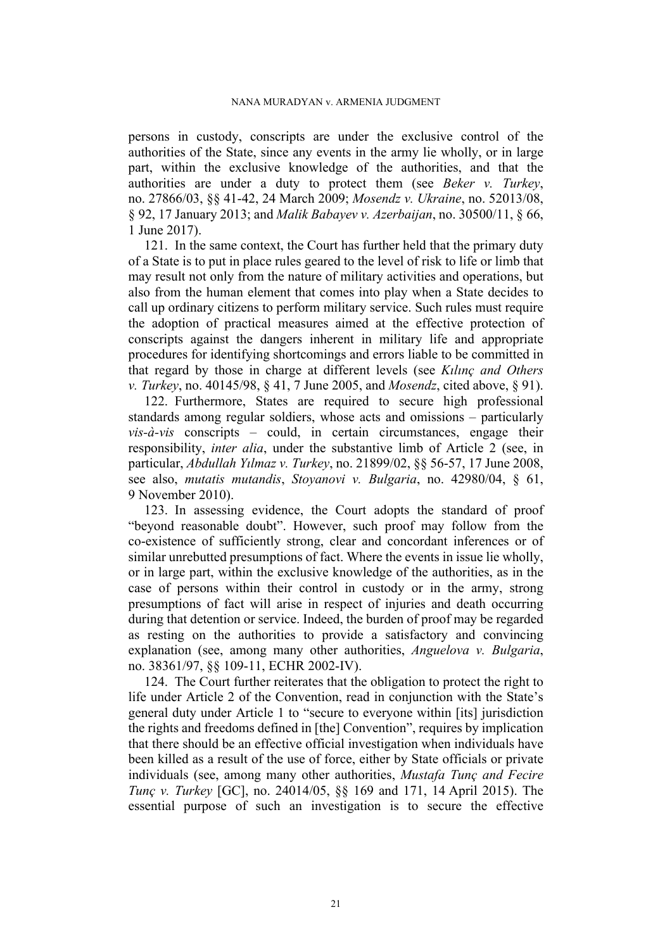persons in custody, conscripts are under the exclusive control of the authorities of the State, since any events in the army lie wholly, or in large part, within the exclusive knowledge of the authorities, and that the authorities are under a duty to protect them (see *Beker v. Turkey*, no. 27866/03, §§ 41-42, 24 March 2009; *Mosendz v. Ukraine*, no. 52013/08, § 92, 17 January 2013; and *Malik Babayev v. Azerbaijan*, no. 30500/11, § 66, 1 June 2017).

<span id="page-22-1"></span>121. In the same context, the Court has further held that the primary duty of a State is to put in place rules geared to the level of risk to life or limb that may result not only from the nature of military activities and operations, but also from the human element that comes into play when a State decides to call up ordinary citizens to perform military service. Such rules must require the adoption of practical measures aimed at the effective protection of conscripts against the dangers inherent in military life and appropriate procedures for identifying shortcomings and errors liable to be committed in that regard by those in charge at different levels (see *Kılınç and Others v. Turkey*, no. 40145/98, § 41, 7 June 2005, and *Mosendz*, cited above, § 91).

<span id="page-22-2"></span>122. Furthermore, States are required to secure high professional standards among regular soldiers, whose acts and omissions – particularly *vis-à-vis* conscripts – could, in certain circumstances, engage their responsibility, *inter alia*, under the substantive limb of Article 2 (see, in particular, *Abdullah Yılmaz v. Turkey*, no. 21899/02, §§ 56-57, 17 June 2008, see also, *mutatis mutandis*, *Stoyanovi v. Bulgaria*, no. 42980/04, § 61, 9 November 2010).

<span id="page-22-0"></span>123. In assessing evidence, the Court adopts the standard of proof "beyond reasonable doubt". However, such proof may follow from the co-existence of sufficiently strong, clear and concordant inferences or of similar unrebutted presumptions of fact. Where the events in issue lie wholly, or in large part, within the exclusive knowledge of the authorities, as in the case of persons within their control in custody or in the army, strong presumptions of fact will arise in respect of injuries and death occurring during that detention or service. Indeed, the burden of proof may be regarded as resting on the authorities to provide a satisfactory and convincing explanation (see, among many other authorities, *Anguelova v. Bulgaria*, no. 38361/97, §§ 109-11, ECHR 2002-IV).

<span id="page-22-3"></span>124. The Court further reiterates that the obligation to protect the right to life under Article 2 of the Convention, read in conjunction with the State's general duty under Article 1 to "secure to everyone within [its] jurisdiction the rights and freedoms defined in [the] Convention", requires by implication that there should be an effective official investigation when individuals have been killed as a result of the use of force, either by State officials or private individuals (see, among many other authorities, *Mustafa Tunç and Fecire Tunç v. Turkey* [GC], no. 24014/05, §§ 169 and 171, 14 April 2015). The essential purpose of such an investigation is to secure the effective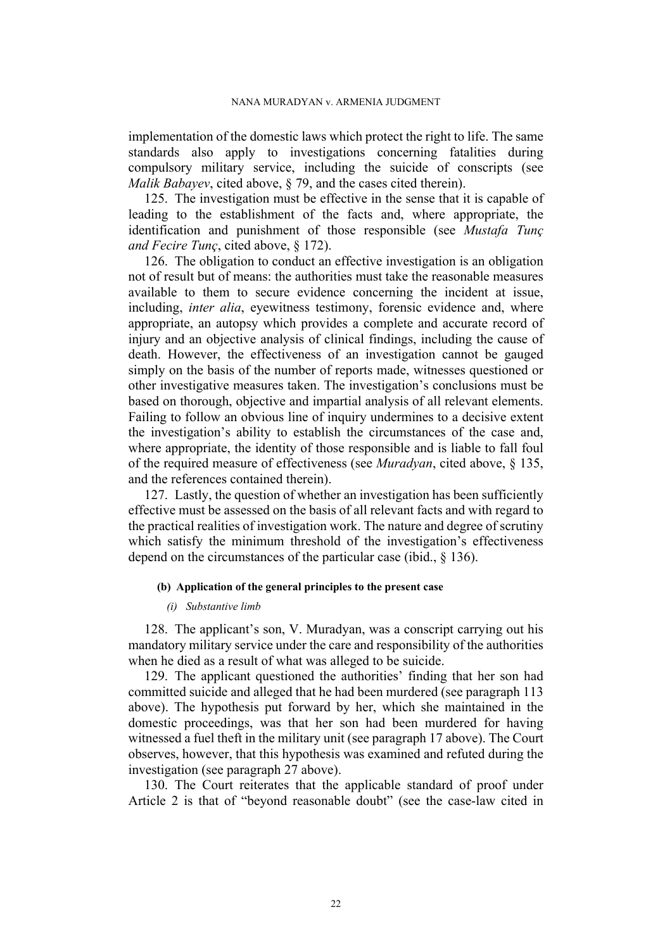implementation of the domestic laws which protect the right to life. The same standards also apply to investigations concerning fatalities during compulsory military service, including the suicide of conscripts (see *Malik Babayev*, cited above, § 79, and the cases cited therein).

125. The investigation must be effective in the sense that it is capable of leading to the establishment of the facts and, where appropriate, the identification and punishment of those responsible (see *Mustafa Tunç and Fecire Tunç*, cited above, § 172).

126. The obligation to conduct an effective investigation is an obligation not of result but of means: the authorities must take the reasonable measures available to them to secure evidence concerning the incident at issue, including, *inter alia*, eyewitness testimony, forensic evidence and, where appropriate, an autopsy which provides a complete and accurate record of injury and an objective analysis of clinical findings, including the cause of death. However, the effectiveness of an investigation cannot be gauged simply on the basis of the number of reports made, witnesses questioned or other investigative measures taken. The investigation's conclusions must be based on thorough, objective and impartial analysis of all relevant elements. Failing to follow an obvious line of inquiry undermines to a decisive extent the investigation's ability to establish the circumstances of the case and, where appropriate, the identity of those responsible and is liable to fall foul of the required measure of effectiveness (see *Muradyan*, cited above, § 135, and the references contained therein).

<span id="page-23-1"></span>127. Lastly, the question of whether an investigation has been sufficiently effective must be assessed on the basis of all relevant facts and with regard to the practical realities of investigation work. The nature and degree of scrutiny which satisfy the minimum threshold of the investigation's effectiveness depend on the circumstances of the particular case (ibid., § 136).

#### **(b) Application of the general principles to the present case**

#### *(i) Substantive limb*

128. The applicant's son, V. Muradyan, was a conscript carrying out his mandatory military service under the care and responsibility of the authorities when he died as a result of what was alleged to be suicide.

<span id="page-23-0"></span>129. The applicant questioned the authorities' finding that her son had committed suicide and alleged that he had been murdered (see paragraph [113](#page-20-0)  above). The hypothesis put forward by her, which she maintained in the domestic proceedings, was that her son had been murdered for having witnessed a fuel theft in the military unit (see paragraph [17](#page-5-2) above). The Court observes, however, that this hypothesis was examined and refuted during the investigation (see paragraph [27](#page-6-0) above).

130. The Court reiterates that the applicable standard of proof under Article 2 is that of "beyond reasonable doubt" (see the case-law cited in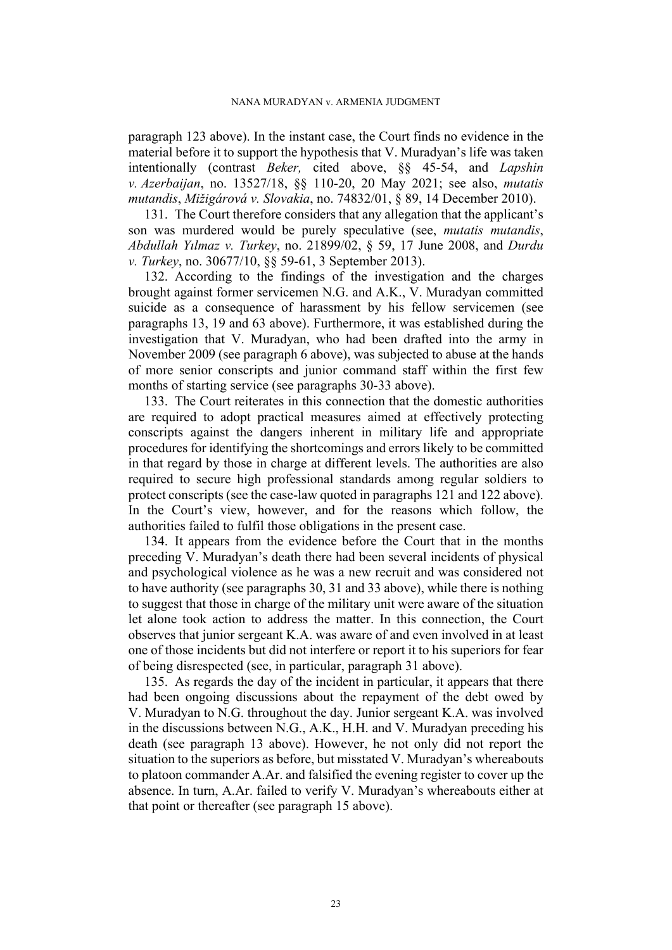paragraph [123](#page-22-0) above). In the instant case, the Court finds no evidence in the material before it to support the hypothesis that V. Muradyan's life was taken intentionally (contrast *Beker,* cited above, §§ 45-54, and *Lapshin v. Azerbaijan*, no. 13527/18, §§ 110-20, 20 May 2021; see also, *mutatis mutandis*, *Mižigárová v. Slovakia*, no. 74832/01, § 89, 14 December 2010).

<span id="page-24-1"></span>131. The Court therefore considers that any allegation that the applicant's son was murdered would be purely speculative (see, *mutatis mutandis*, *Abdullah Yılmaz v. Turkey*, no. 21899/02, § 59, 17 June 2008, and *Durdu v. Turkey*, no. 30677/10, §§ 59-61, 3 September 2013).

132. According to the findings of the investigation and the charges brought against former servicemen N.G. and A.K., V. Muradyan committed suicide as a consequence of harassment by his fellow servicemen (see paragraphs [13,](#page-4-1) [19](#page-5-3) and [63](#page-12-2) above). Furthermore, it was established during the investigation that V. Muradyan, who had been drafted into the army in November 2009 (see paragraph [6](#page-3-2) above), was subjected to abuse at the hands of more senior conscripts and junior command staff within the first few months of starting service (see paragraphs [30-](#page-7-0)[33](#page-9-0) above).

<span id="page-24-0"></span>133. The Court reiterates in this connection that the domestic authorities are required to adopt practical measures aimed at effectively protecting conscripts against the dangers inherent in military life and appropriate procedures for identifying the shortcomings and errors likely to be committed in that regard by those in charge at different levels. The authorities are also required to secure high professional standards among regular soldiers to protect conscripts (see the case-law quoted in paragraphs [121](#page-22-1) and [122](#page-22-2) above). In the Court's view, however, and for the reasons which follow, the authorities failed to fulfil those obligations in the present case.

134. It appears from the evidence before the Court that in the months preceding V. Muradyan's death there had been several incidents of physical and psychological violence as he was a new recruit and was considered not to have authority (see paragraphs [30,](#page-7-0) [31](#page-8-0) and [33](#page-9-0) above), while there is nothing to suggest that those in charge of the military unit were aware of the situation let alone took action to address the matter. In this connection, the Court observes that junior sergeant K.A. was aware of and even involved in at least one of those incidents but did not interfere or report it to his superiors for fear of being disrespected (see, in particular, paragraph [31](#page-8-0) above).

135. As regards the day of the incident in particular, it appears that there had been ongoing discussions about the repayment of the debt owed by V. Muradyan to N.G. throughout the day. Junior sergeant K.A. was involved in the discussions between N.G., A.K., H.H. and V. Muradyan preceding his death (see paragraph [13](#page-4-1) above). However, he not only did not report the situation to the superiors as before, but misstated V. Muradyan's whereabouts to platoon commander A.Ar. and falsified the evening register to cover up the absence. In turn, A.Ar. failed to verify V. Muradyan's whereabouts either at that point or thereafter (see paragraph [15](#page-4-2) above).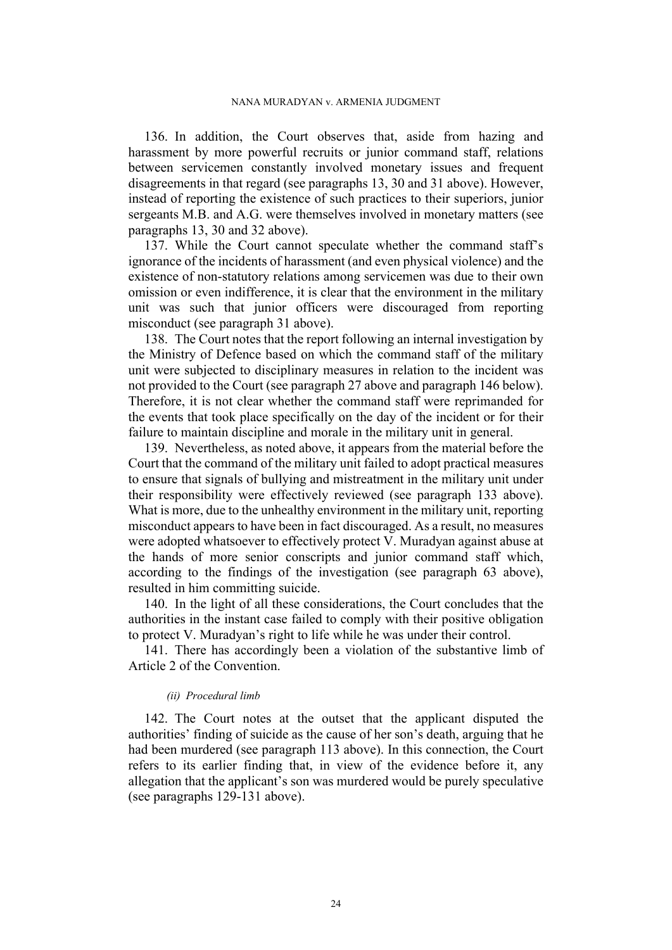136. In addition, the Court observes that, aside from hazing and harassment by more powerful recruits or junior command staff, relations between servicemen constantly involved monetary issues and frequent disagreements in that regard (see paragraphs [13,](#page-4-1) [30](#page-7-0) and [31](#page-8-0) above). However, instead of reporting the existence of such practices to their superiors, junior sergeants M.B. and A.G. were themselves involved in monetary matters (see paragraphs [13](#page-4-1), [30](#page-7-0) and [32](#page-9-1) above).

137. While the Court cannot speculate whether the command staff's ignorance of the incidents of harassment (and even physical violence) and the existence of non-statutory relations among servicemen was due to their own omission or even indifference, it is clear that the environment in the military unit was such that junior officers were discouraged from reporting misconduct (see paragraph [31](#page-8-0) above).

138. The Court notes that the report following an internal investigation by the Ministry of Defence based on which the command staff of the military unit were subjected to disciplinary measures in relation to the incident was not provided to the Court (see paragraph [27](#page-6-0) above and paragraph [146](#page-26-0) below). Therefore, it is not clear whether the command staff were reprimanded for the events that took place specifically on the day of the incident or for their failure to maintain discipline and morale in the military unit in general.

139. Nevertheless, as noted above, it appears from the material before the Court that the command of the military unit failed to adopt practical measures to ensure that signals of bullying and mistreatment in the military unit under their responsibility were effectively reviewed (see paragraph [133](#page-24-0) above). What is more, due to the unhealthy environment in the military unit, reporting misconduct appears to have been in fact discouraged. As a result, no measures were adopted whatsoever to effectively protect V. Muradyan against abuse at the hands of more senior conscripts and junior command staff which, according to the findings of the investigation (see paragraph [63](#page-12-2) above), resulted in him committing suicide.

140. In the light of all these considerations, the Court concludes that the authorities in the instant case failed to comply with their positive obligation to protect V. Muradyan's right to life while he was under their control.

141. There has accordingly been a violation of the substantive limb of Article 2 of the Convention.

### *(ii) Procedural limb*

142. The Court notes at the outset that the applicant disputed the authorities' finding of suicide as the cause of her son's death, arguing that he had been murdered (see paragraph [113](#page-20-0) above). In this connection, the Court refers to its earlier finding that, in view of the evidence before it, any allegation that the applicant's son was murdered would be purely speculative (see paragraphs [129-](#page-23-0)[131](#page-24-1) above).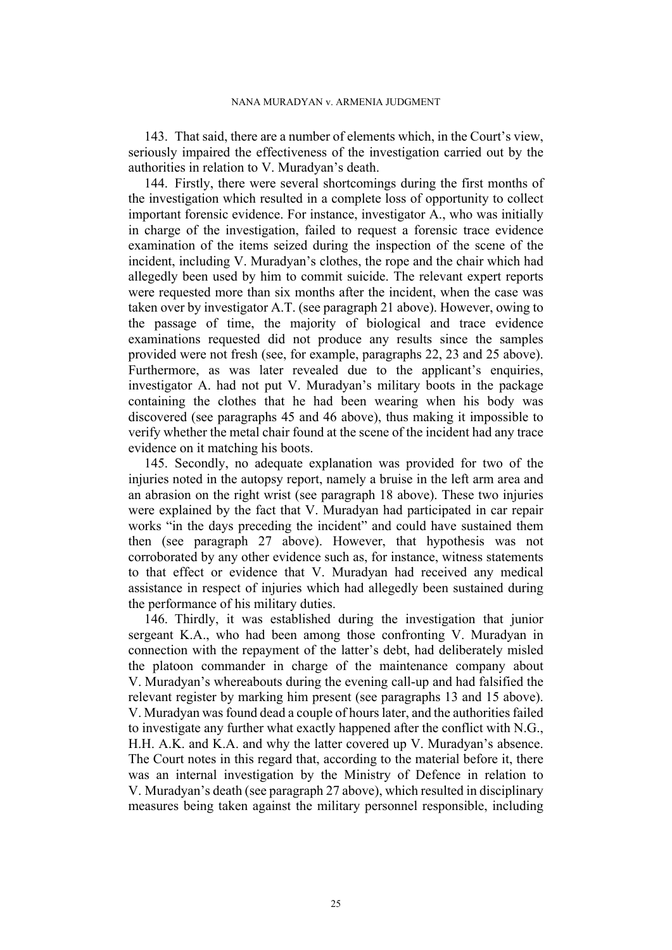143. That said, there are a number of elements which, in the Court's view, seriously impaired the effectiveness of the investigation carried out by the authorities in relation to V. Muradyan's death.

144. Firstly, there were several shortcomings during the first months of the investigation which resulted in a complete loss of opportunity to collect important forensic evidence. For instance, investigator A., who was initially in charge of the investigation, failed to request a forensic trace evidence examination of the items seized during the inspection of the scene of the incident, including V. Muradyan's clothes, the rope and the chair which had allegedly been used by him to commit suicide. The relevant expert reports were requested more than six months after the incident, when the case was taken over by investigator A.T. (see paragraph [21](#page-6-1) above). However, owing to the passage of time, the majority of biological and trace evidence examinations requested did not produce any results since the samples provided were not fresh (see, for example, paragraphs [22,](#page-6-2) [23](#page-6-3) and [25](#page-6-4) above). Furthermore, as was later revealed due to the applicant's enquiries, investigator A. had not put V. Muradyan's military boots in the package containing the clothes that he had been wearing when his body was discovered (see paragraphs [45](#page-10-1) and [46](#page-10-2) above), thus making it impossible to verify whether the metal chair found at the scene of the incident had any trace evidence on it matching his boots.

145. Secondly, no adequate explanation was provided for two of the injuries noted in the autopsy report, namely a bruise in the left arm area and an abrasion on the right wrist (see paragraph [18](#page-5-0) above). These two injuries were explained by the fact that V. Muradyan had participated in car repair works "in the days preceding the incident" and could have sustained them then (see paragraph [27](#page-6-0) above). However, that hypothesis was not corroborated by any other evidence such as, for instance, witness statements to that effect or evidence that V. Muradyan had received any medical assistance in respect of injuries which had allegedly been sustained during the performance of his military duties.

<span id="page-26-0"></span>146. Thirdly, it was established during the investigation that junior sergeant K.A., who had been among those confronting V. Muradyan in connection with the repayment of the latter's debt, had deliberately misled the platoon commander in charge of the maintenance company about V. Muradyan's whereabouts during the evening call-up and had falsified the relevant register by marking him present (see paragraphs [13](#page-4-1) and [15](#page-4-2) above). V. Muradyan was found dead a couple of hours later, and the authorities failed to investigate any further what exactly happened after the conflict with N.G., H.H. A.K. and K.A. and why the latter covered up V. Muradyan's absence. The Court notes in this regard that, according to the material before it, there was an internal investigation by the Ministry of Defence in relation to V. Muradyan's death (see paragraph [27](#page-6-0) above), which resulted in disciplinary measures being taken against the military personnel responsible, including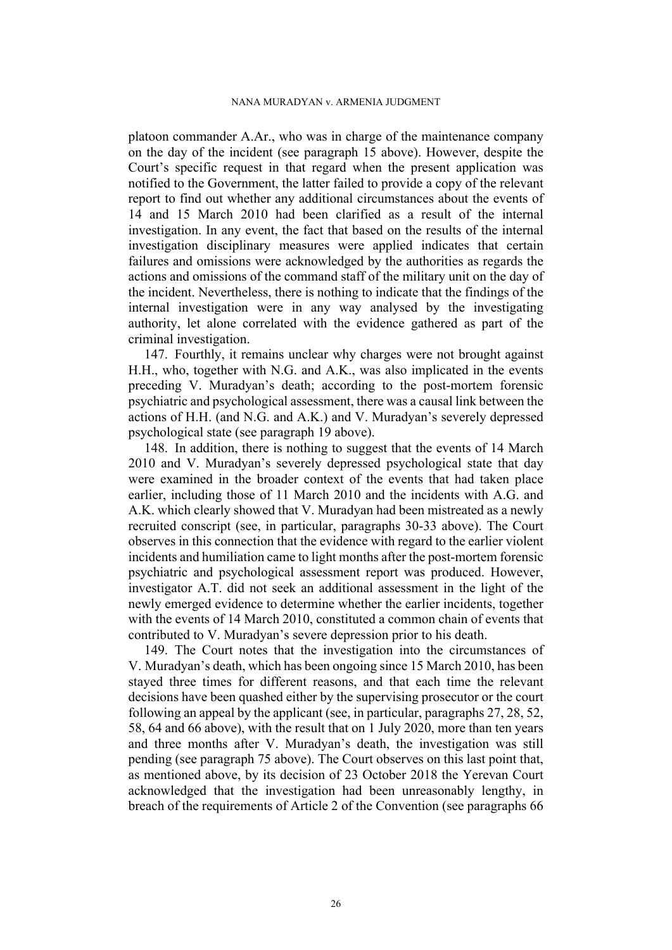#### NANA MURADYAN v. ARMENIA JUDGMENT

platoon commander A.Ar., who was in charge of the maintenance company on the day of the incident (see paragraph [15](#page-4-2) above). However, despite the Court's specific request in that regard when the present application was notified to the Government, the latter failed to provide a copy of the relevant report to find out whether any additional circumstances about the events of 14 and 15 March 2010 had been clarified as a result of the internal investigation. In any event, the fact that based on the results of the internal investigation disciplinary measures were applied indicates that certain failures and omissions were acknowledged by the authorities as regards the actions and omissions of the command staff of the military unit on the day of the incident. Nevertheless, there is nothing to indicate that the findings of the internal investigation were in any way analysed by the investigating authority, let alone correlated with the evidence gathered as part of the criminal investigation.

147. Fourthly, it remains unclear why charges were not brought against H.H., who, together with N.G. and A.K., was also implicated in the events preceding V. Muradyan's death; according to the post-mortem forensic psychiatric and psychological assessment, there was a causal link between the actions of H.H. (and N.G. and A.K.) and V. Muradyan's severely depressed psychological state (see paragraph [19](#page-5-3) above).

148. In addition, there is nothing to suggest that the events of 14 March 2010 and V. Muradyan's severely depressed psychological state that day were examined in the broader context of the events that had taken place earlier, including those of 11 March 2010 and the incidents with A.G. and A.K. which clearly showed that V. Muradyan had been mistreated as a newly recruited conscript (see, in particular, paragraphs [30](#page-7-0)[-33](#page-9-0) above). The Court observes in this connection that the evidence with regard to the earlier violent incidents and humiliation came to light months after the post-mortem forensic psychiatric and psychological assessment report was produced. However, investigator A.T. did not seek an additional assessment in the light of the newly emerged evidence to determine whether the earlier incidents, together with the events of 14 March 2010, constituted a common chain of events that contributed to V. Muradyan's severe depression prior to his death.

149. The Court notes that the investigation into the circumstances of V. Muradyan's death, which has been ongoing since 15 March 2010, has been stayed three times for different reasons, and that each time the relevant decisions have been quashed either by the supervising prosecutor or the court following an appeal by the applicant (see, in particular, paragraphs [27,](#page-6-0) [28](#page-7-1), [52,](#page-11-1) [58,](#page-11-2) [64](#page-12-0) and [66](#page-12-1) above), with the result that on 1 July 2020, more than ten years and three months after V. Muradyan's death, the investigation was still pending (see paragraph [75](#page-13-1) above). The Court observes on this last point that, as mentioned above, by its decision of 23 October 2018 the Yerevan Court acknowledged that the investigation had been unreasonably lengthy, in breach of the requirements of Article 2 of the Convention (see paragraphs [66](#page-12-1)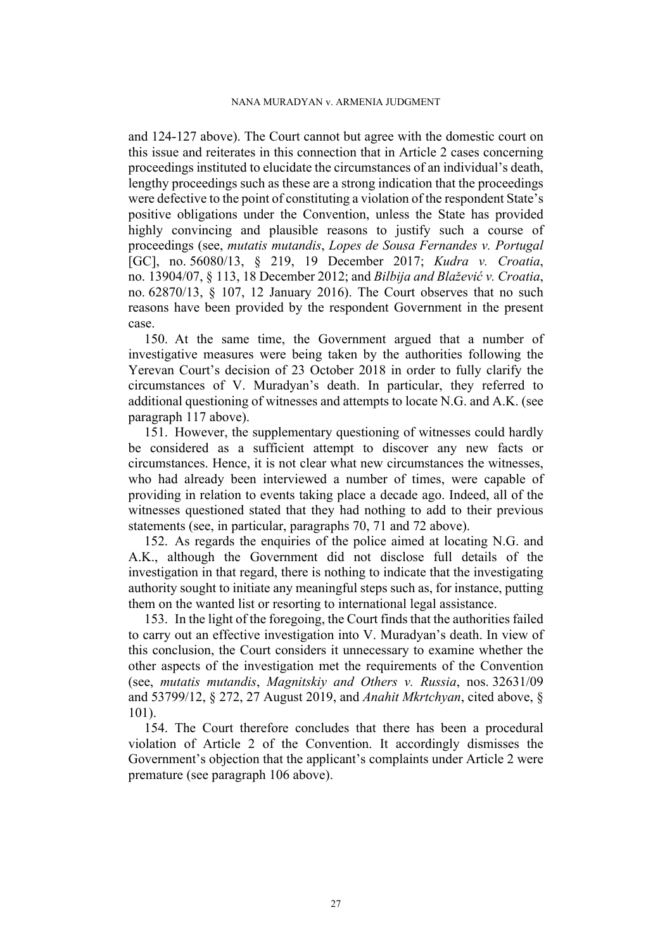and [124](#page-22-3)[-127](#page-23-1) above). The Court cannot but agree with the domestic court on this issue and reiterates in this connection that in Article 2 cases concerning proceedings instituted to elucidate the circumstances of an individual's death, lengthy proceedings such as these are a strong indication that the proceedings were defective to the point of constituting a violation of the respondent State's positive obligations under the Convention, unless the State has provided highly convincing and plausible reasons to justify such a course of proceedings (see, *mutatis mutandis*, *Lopes de Sousa Fernandes v. Portugal* [GC], no. 56080/13, § 219, 19 December 2017; *Kudra v. Croatia*, no. 13904/07, § 113, 18 December 2012; and *Bilbija and Blažević v. Croatia*, no. 62870/13, § 107, 12 January 2016). The Court observes that no such reasons have been provided by the respondent Government in the present case.

150. At the same time, the Government argued that a number of investigative measures were being taken by the authorities following the Yerevan Court's decision of 23 October 2018 in order to fully clarify the circumstances of V. Muradyan's death. In particular, they referred to additional questioning of witnesses and attempts to locate N.G. and A.K. (see paragraph [117](#page-21-0) above).

151. However, the supplementary questioning of witnesses could hardly be considered as a sufficient attempt to discover any new facts or circumstances. Hence, it is not clear what new circumstances the witnesses, who had already been interviewed a number of times, were capable of providing in relation to events taking place a decade ago. Indeed, all of the witnesses questioned stated that they had nothing to add to their previous statements (see, in particular, paragraphs [70,](#page-13-2) [71](#page-13-3) and [72](#page-13-4) above).

152. As regards the enquiries of the police aimed at locating N.G. and A.K., although the Government did not disclose full details of the investigation in that regard, there is nothing to indicate that the investigating authority sought to initiate any meaningful steps such as, for instance, putting them on the wanted list or resorting to international legal assistance.

153. In the light of the foregoing, the Court finds that the authorities failed to carry out an effective investigation into V. Muradyan's death. In view of this conclusion, the Court considers it unnecessary to examine whether the other aspects of the investigation met the requirements of the Convention (see, *mutatis mutandis*, *Magnitskiy and Others v. Russia*, nos. 32631/09 and 53799/12, § 272, 27 August 2019, and *Anahit Mkrtchyan*, cited above, § 101).

154. The Court therefore concludes that there has been a procedural violation of Article 2 of the Convention. It accordingly dismisses the Government's objection that the applicant's complaints under Article 2 were premature (see paragraph [106](#page-19-1) above).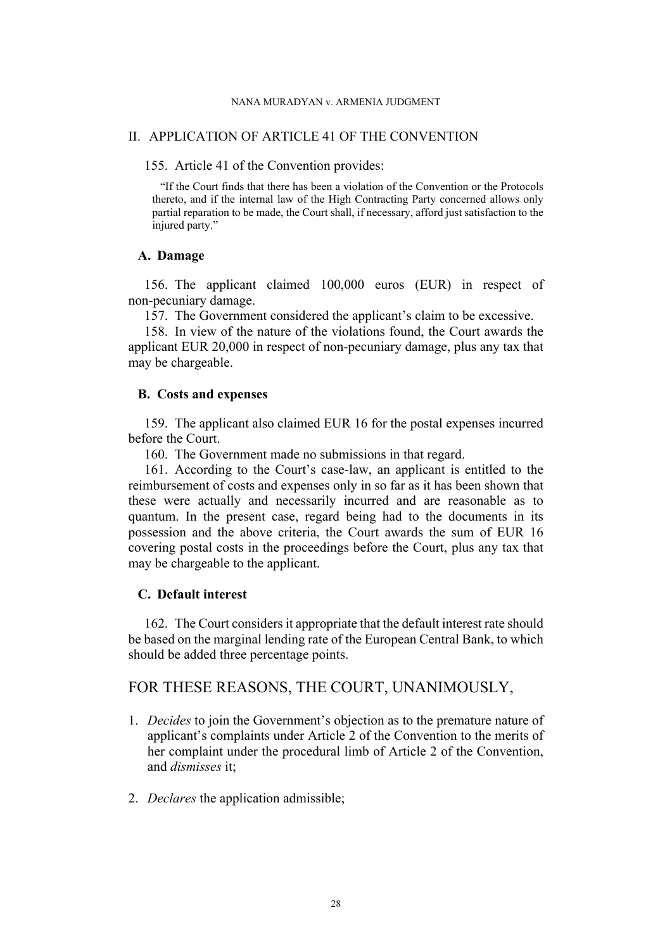## II. APPLICATION OF ARTICLE 41 OF THE CONVENTION

155. Article 41 of the Convention provides:

"If the Court finds that there has been a violation of the Convention or the Protocols thereto, and if the internal law of the High Contracting Party concerned allows only partial reparation to be made, the Court shall, if necessary, afford just satisfaction to the injured party."

## **A. Damage**

156. The applicant claimed 100,000 euros (EUR) in respect of non-pecuniary damage.

157. The Government considered the applicant's claim to be excessive.

158. In view of the nature of the violations found, the Court awards the applicant EUR 20,000 in respect of non-pecuniary damage, plus any tax that may be chargeable.

# **B. Costs and expenses**

159. The applicant also claimed EUR 16 for the postal expenses incurred before the Court.

160. The Government made no submissions in that regard.

161. According to the Court's case-law, an applicant is entitled to the reimbursement of costs and expenses only in so far as it has been shown that these were actually and necessarily incurred and are reasonable as to quantum. In the present case, regard being had to the documents in its possession and the above criteria, the Court awards the sum of EUR 16 covering postal costs in the proceedings before the Court, plus any tax that may be chargeable to the applicant.

# **C. Default interest**

162. The Court considers it appropriate that the default interest rate should be based on the marginal lending rate of the European Central Bank, to which should be added three percentage points.

# FOR THESE REASONS, THE COURT, UNANIMOUSLY,

- 1. *Decides* to join the Government's objection as to the premature nature of applicant's complaints under Article 2 of the Convention to the merits of her complaint under the procedural limb of Article 2 of the Convention, and *dismisses* it;
- 2. *Declares* the application admissible;